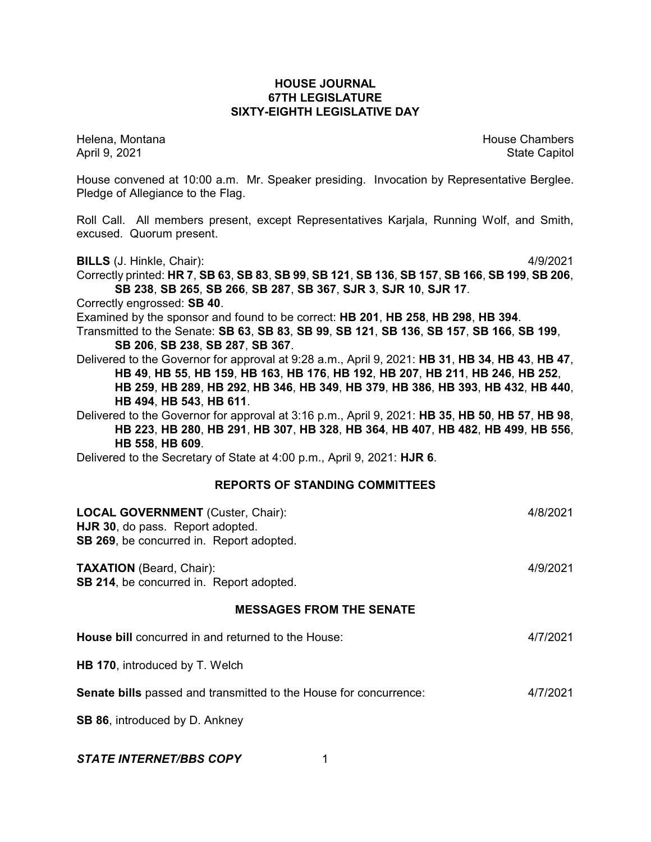# **HOUSE JOURNAL 67TH LEGISLATURE SIXTY-EIGHTH LEGISLATIVE DAY**

Helena, Montana House Chambers Chambers Chambers and House Chambers Chambers Chambers Chambers and House Chambers and House Chambers and House Chambers and House Chambers and House Chambers and House Chambers and House Cha April 9, 2021 **State Capitol** 

House convened at 10:00 a.m. Mr. Speaker presiding. Invocation by Representative Berglee. Pledge of Allegiance to the Flag.

Roll Call. All members present, except Representatives Karjala, Running Wolf, and Smith, excused. Quorum present.

**BILLS** (J. Hinkle, Chair): 4/9/2021

Correctly printed: HR 7, SB 63, SB 83, SB 99, SB 121, SB 136, SB 157, SB 166, SB 199, SB 206, **SB 238**, **SB 265**, **SB 266**, **SB 287**, **SB 367**, **SJR 3**, **SJR 10**, **SJR 17**.

Correctly engrossed: **SB 40**.

Examined by the sponsor and found to be correct: **HB 201**, **HB 258**, **HB 298**, **HB 394**.

Transmitted to the Senate: **SB 63**, **SB 83**, **SB 99**, **SB 121**, **SB 136**, **SB 157**, **SB 166**, **SB 199**, **SB 206**, **SB 238**, **SB 287**, **SB 367**.

Delivered to the Governor for approval at 9:28 a.m., April 9, 2021: **HB 31**, **HB 34**, **HB 43**, **HB 47**, **HB 49**, **HB 55**, **HB 159**, **HB 163**, **HB 176**, **HB 192**, **HB 207**, **HB 211**, **HB 246**, **HB 252**, **HB 259**, **HB 289**, **HB 292**, **HB 346**, **HB 349**, **HB 379**, **HB 386**, **HB 393**, **HB 432**, **HB 440**, **HB 494**, **HB 543**, **HB 611**.

Delivered to the Governor for approval at 3:16 p.m., April 9, 2021: **HB 35**, **HB 50**, **HB 57**, **HB 98**, **HB 223**, **HB 280**, **HB 291**, **HB 307**, **HB 328**, **HB 364**, **HB 407**, **HB 482**, **HB 499**, **HB 556**, **HB 558**, **HB 609**.

Delivered to the Secretary of State at 4:00 p.m., April 9, 2021: **HJR 6**.

# **REPORTS OF STANDING COMMITTEES**

| <b>LOCAL GOVERNMENT</b> (Custer, Chair):<br>HJR 30, do pass. Report adopted.<br>SB 269, be concurred in. Report adopted. | 4/8/2021 |
|--------------------------------------------------------------------------------------------------------------------------|----------|
| <b>TAXATION</b> (Beard, Chair):<br>SB 214, be concurred in. Report adopted.                                              | 4/9/2021 |
| <b>MESSAGES FROM THE SENATE</b>                                                                                          |          |
| House bill concurred in and returned to the House:                                                                       | 4/7/2021 |
| HB 170, introduced by T. Welch                                                                                           |          |
| Senate bills passed and transmitted to the House for concurrence:                                                        | 4/7/2021 |
| <b>SB 86, introduced by D. Ankney</b>                                                                                    |          |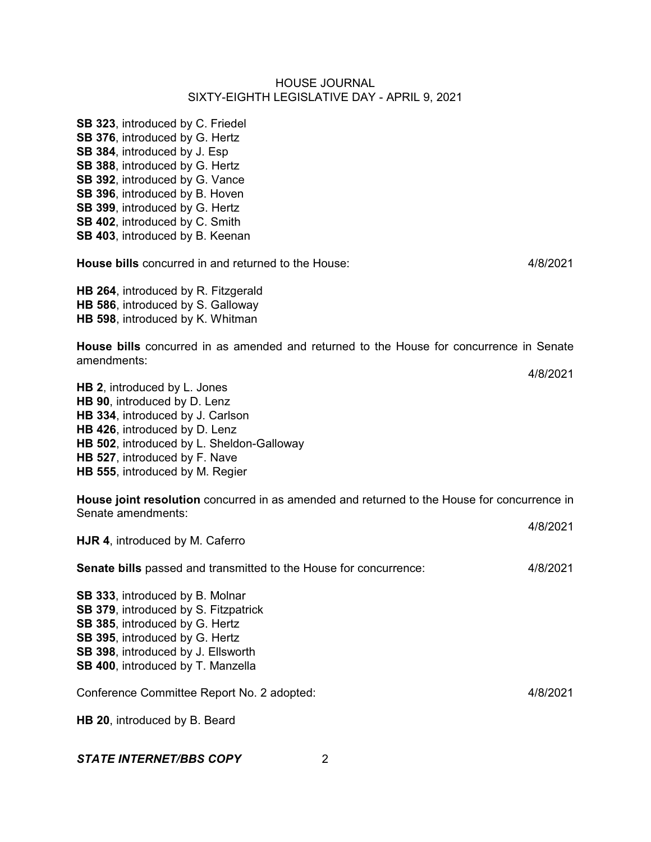**SB 323**, introduced by C. Friedel **SB 376**, introduced by G. Hertz **SB 384**, introduced by J. Esp **SB 388**, introduced by G. Hertz **SB 392**, introduced by G. Vance **SB 396**, introduced by B. Hoven **SB 399**, introduced by G. Hertz **SB 402**, introduced by C. Smith **SB 403**, introduced by B. Keenan

**House bills** concurred in and returned to the House: 4/8/2021

**HB 264**, introduced by R. Fitzgerald **HB 586**, introduced by S. Galloway **HB 598**, introduced by K. Whitman

**House bills** concurred in as amended and returned to the House for concurrence in Senate amendments:

**HB 2**, introduced by L. Jones **HB 90**, introduced by D. Lenz **HB 334**, introduced by J. Carlson **HB 426**, introduced by D. Lenz **HB 502**, introduced by L. Sheldon-Galloway **HB 527**, introduced by F. Nave **HB 555**, introduced by M. Regier

**House joint resolution** concurred in as amended and returned to the House for concurrence in Senate amendments:

4/8/2021 **HJR 4**, introduced by M. Caferro **Senate bills** passed and transmitted to the House for concurrence: 4/8/2021 **SB 333**, introduced by B. Molnar **SB 379**, introduced by S. Fitzpatrick **SB 385**, introduced by G. Hertz

**SB 395**, introduced by G. Hertz **SB 398**, introduced by J. Ellsworth

**SB 400**, introduced by T. Manzella

Conference Committee Report No. 2 adopted: 4/8/2021

4/8/2021

**HB 20**, introduced by B. Beard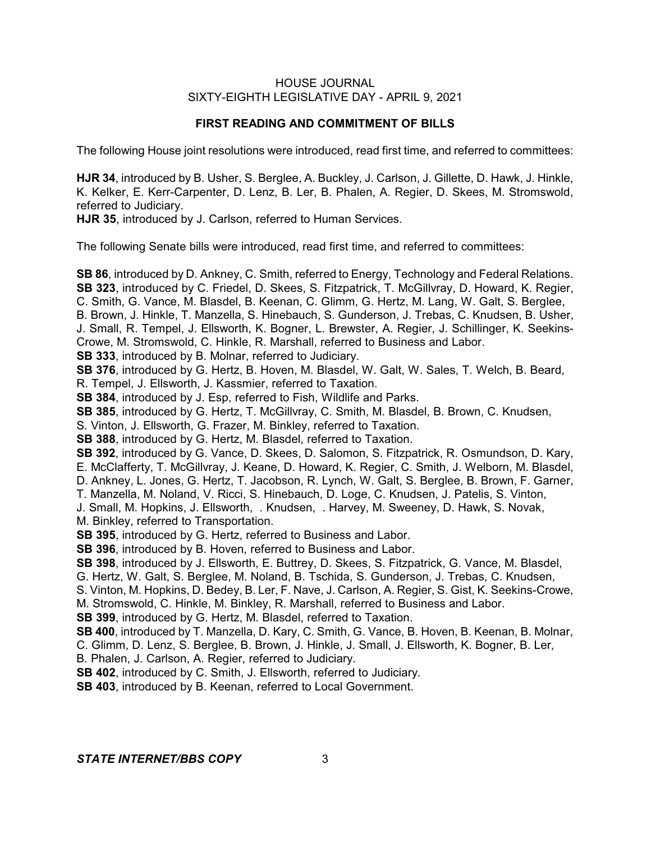# **FIRST READING AND COMMITMENT OF BILLS**

The following House joint resolutions were introduced, read first time, and referred to committees:

**HJR 34**, introduced by B. Usher, S. Berglee, A. Buckley, J. Carlson, J. Gillette, D. Hawk, J. Hinkle, K. Kelker, E. Kerr-Carpenter, D. Lenz, B. Ler, B. Phalen, A. Regier, D. Skees, M. Stromswold, referred to Judiciary.

**HJR 35**, introduced by J. Carlson, referred to Human Services.

The following Senate bills were introduced, read first time, and referred to committees:

**SB 86**, introduced by D. Ankney, C. Smith, referred to Energy, Technology and Federal Relations. **SB 323**, introduced by C. Friedel, D. Skees, S. Fitzpatrick, T. McGillvray, D. Howard, K. Regier, C. Smith, G. Vance, M. Blasdel, B. Keenan, C. Glimm, G. Hertz, M. Lang, W. Galt, S. Berglee, B. Brown, J. Hinkle, T. Manzella, S. Hinebauch, S. Gunderson, J. Trebas, C. Knudsen, B. Usher, J. Small, R. Tempel, J. Ellsworth, K. Bogner, L. Brewster, A. Regier, J. Schillinger, K. Seekins-Crowe, M. Stromswold, C. Hinkle, R. Marshall, referred to Business and Labor. **SB 333**, introduced by B. Molnar, referred to Judiciary. **SB 376**, introduced by G. Hertz, B. Hoven, M. Blasdel, W. Galt, W. Sales, T. Welch, B. Beard, R. Tempel, J. Ellsworth, J. Kassmier, referred to Taxation. **SB 384**, introduced by J. Esp, referred to Fish, Wildlife and Parks. **SB 385**, introduced by G. Hertz, T. McGillvray, C. Smith, M. Blasdel, B. Brown, C. Knudsen, S. Vinton, J. Ellsworth, G. Frazer, M. Binkley, referred to Taxation. **SB 388**, introduced by G. Hertz, M. Blasdel, referred to Taxation. **SB 392**, introduced by G. Vance, D. Skees, D. Salomon, S. Fitzpatrick, R. Osmundson, D. Kary, E. McClafferty, T. McGillvray, J. Keane, D. Howard, K. Regier, C. Smith, J. Welborn, M. Blasdel, D. Ankney, L. Jones, G. Hertz, T. Jacobson, R. Lynch, W. Galt, S. Berglee, B. Brown, F. Garner, T. Manzella, M. Noland, V. Ricci, S. Hinebauch, D. Loge, C. Knudsen, J. Patelis, S. Vinton, J. Small, M. Hopkins, J. Ellsworth, . Knudsen, . Harvey, M. Sweeney, D. Hawk, S. Novak, M. Binkley, referred to Transportation. **SB 395**, introduced by G. Hertz, referred to Business and Labor. **SB 396**, introduced by B. Hoven, referred to Business and Labor. **SB 398**, introduced by J. Ellsworth, E. Buttrey, D. Skees, S. Fitzpatrick, G. Vance, M. Blasdel, G. Hertz, W. Galt, S. Berglee, M. Noland, B. Tschida, S. Gunderson, J. Trebas, C. Knudsen, S. Vinton, M. Hopkins, D. Bedey, B. Ler, F. Nave, J. Carlson, A. Regier, S. Gist, K. Seekins-Crowe, M. Stromswold, C. Hinkle, M. Binkley, R. Marshall, referred to Business and Labor. **SB 399**, introduced by G. Hertz, M. Blasdel, referred to Taxation. **SB 400**, introduced by T. Manzella, D. Kary, C. Smith, G. Vance, B. Hoven, B. Keenan, B. Molnar, C. Glimm, D. Lenz, S. Berglee, B. Brown, J. Hinkle, J. Small, J. Ellsworth, K. Bogner, B. Ler, B. Phalen, J. Carlson, A. Regier, referred to Judiciary. **SB 402**, introduced by C. Smith, J. Ellsworth, referred to Judiciary. **SB 403**, introduced by B. Keenan, referred to Local Government.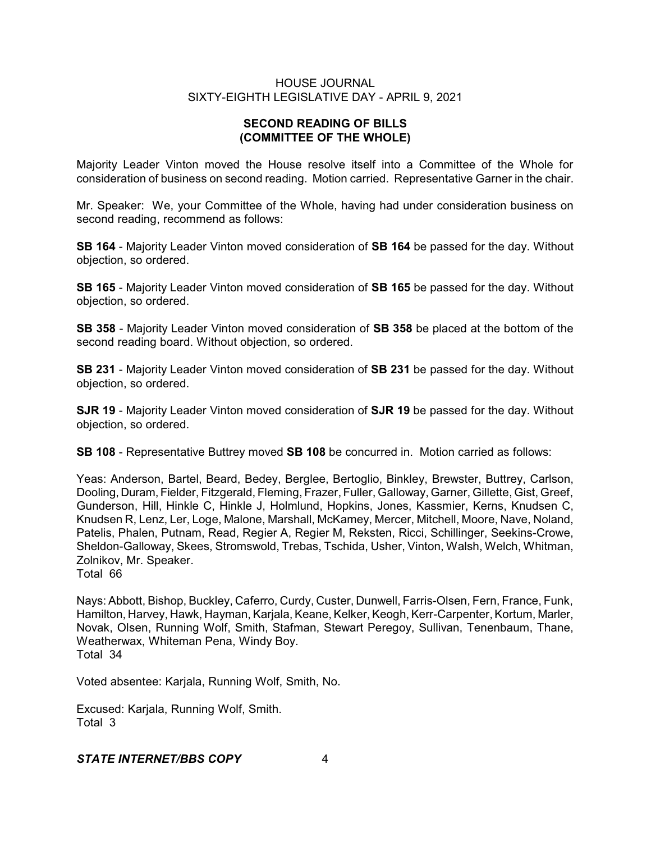# **SECOND READING OF BILLS (COMMITTEE OF THE WHOLE)**

Majority Leader Vinton moved the House resolve itself into a Committee of the Whole for consideration of business on second reading. Motion carried. Representative Garner in the chair.

Mr. Speaker: We, your Committee of the Whole, having had under consideration business on second reading, recommend as follows:

**SB 164** - Majority Leader Vinton moved consideration of **SB 164** be passed for the day. Without objection, so ordered.

**SB 165** - Majority Leader Vinton moved consideration of **SB 165** be passed for the day. Without objection, so ordered.

**SB 358** - Majority Leader Vinton moved consideration of **SB 358** be placed at the bottom of the second reading board. Without objection, so ordered.

**SB 231** - Majority Leader Vinton moved consideration of **SB 231** be passed for the day. Without objection, so ordered.

**SJR 19** - Majority Leader Vinton moved consideration of **SJR 19** be passed for the day. Without objection, so ordered.

**SB 108** - Representative Buttrey moved **SB 108** be concurred in. Motion carried as follows:

Yeas: Anderson, Bartel, Beard, Bedey, Berglee, Bertoglio, Binkley, Brewster, Buttrey, Carlson, Dooling, Duram, Fielder, Fitzgerald, Fleming, Frazer, Fuller, Galloway, Garner, Gillette, Gist, Greef, Gunderson, Hill, Hinkle C, Hinkle J, Holmlund, Hopkins, Jones, Kassmier, Kerns, Knudsen C, Knudsen R, Lenz, Ler, Loge, Malone, Marshall, McKamey, Mercer, Mitchell, Moore, Nave, Noland, Patelis, Phalen, Putnam, Read, Regier A, Regier M, Reksten, Ricci, Schillinger, Seekins-Crowe, Sheldon-Galloway, Skees, Stromswold, Trebas, Tschida, Usher, Vinton, Walsh, Welch, Whitman, Zolnikov, Mr. Speaker.

Total 66

Nays: Abbott, Bishop, Buckley, Caferro, Curdy, Custer, Dunwell, Farris-Olsen, Fern, France, Funk, Hamilton, Harvey, Hawk, Hayman, Karjala, Keane, Kelker, Keogh, Kerr-Carpenter, Kortum, Marler, Novak, Olsen, Running Wolf, Smith, Stafman, Stewart Peregoy, Sullivan, Tenenbaum, Thane, Weatherwax, Whiteman Pena, Windy Boy. Total 34

Voted absentee: Karjala, Running Wolf, Smith, No.

Excused: Karjala, Running Wolf, Smith. Total 3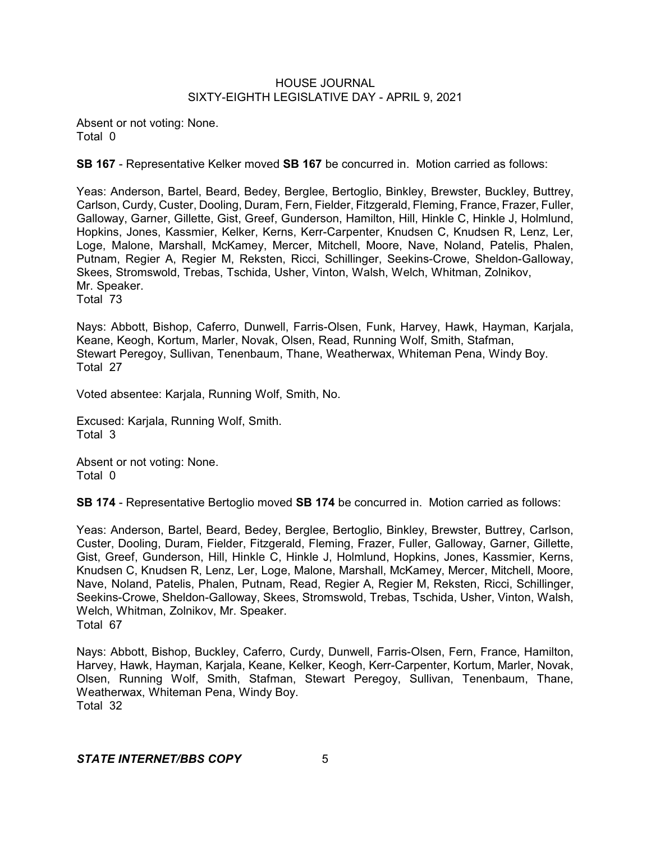Absent or not voting: None. Total 0

**SB 167** - Representative Kelker moved **SB 167** be concurred in. Motion carried as follows:

Yeas: Anderson, Bartel, Beard, Bedey, Berglee, Bertoglio, Binkley, Brewster, Buckley, Buttrey, Carlson, Curdy, Custer, Dooling, Duram, Fern, Fielder, Fitzgerald, Fleming, France, Frazer, Fuller, Galloway, Garner, Gillette, Gist, Greef, Gunderson, Hamilton, Hill, Hinkle C, Hinkle J, Holmlund, Hopkins, Jones, Kassmier, Kelker, Kerns, Kerr-Carpenter, Knudsen C, Knudsen R, Lenz, Ler, Loge, Malone, Marshall, McKamey, Mercer, Mitchell, Moore, Nave, Noland, Patelis, Phalen, Putnam, Regier A, Regier M, Reksten, Ricci, Schillinger, Seekins-Crowe, Sheldon-Galloway, Skees, Stromswold, Trebas, Tschida, Usher, Vinton, Walsh, Welch, Whitman, Zolnikov, Mr. Speaker. Total 73

Nays: Abbott, Bishop, Caferro, Dunwell, Farris-Olsen, Funk, Harvey, Hawk, Hayman, Karjala, Keane, Keogh, Kortum, Marler, Novak, Olsen, Read, Running Wolf, Smith, Stafman, Stewart Peregoy, Sullivan, Tenenbaum, Thane, Weatherwax, Whiteman Pena, Windy Boy. Total 27

Voted absentee: Karjala, Running Wolf, Smith, No.

Excused: Karjala, Running Wolf, Smith. Total 3

Absent or not voting: None. Total 0

**SB 174** - Representative Bertoglio moved **SB 174** be concurred in. Motion carried as follows:

Yeas: Anderson, Bartel, Beard, Bedey, Berglee, Bertoglio, Binkley, Brewster, Buttrey, Carlson, Custer, Dooling, Duram, Fielder, Fitzgerald, Fleming, Frazer, Fuller, Galloway, Garner, Gillette, Gist, Greef, Gunderson, Hill, Hinkle C, Hinkle J, Holmlund, Hopkins, Jones, Kassmier, Kerns, Knudsen C, Knudsen R, Lenz, Ler, Loge, Malone, Marshall, McKamey, Mercer, Mitchell, Moore, Nave, Noland, Patelis, Phalen, Putnam, Read, Regier A, Regier M, Reksten, Ricci, Schillinger, Seekins-Crowe, Sheldon-Galloway, Skees, Stromswold, Trebas, Tschida, Usher, Vinton, Walsh, Welch, Whitman, Zolnikov, Mr. Speaker. Total 67

Nays: Abbott, Bishop, Buckley, Caferro, Curdy, Dunwell, Farris-Olsen, Fern, France, Hamilton, Harvey, Hawk, Hayman, Karjala, Keane, Kelker, Keogh, Kerr-Carpenter, Kortum, Marler, Novak, Olsen, Running Wolf, Smith, Stafman, Stewart Peregoy, Sullivan, Tenenbaum, Thane, Weatherwax, Whiteman Pena, Windy Boy. Total 32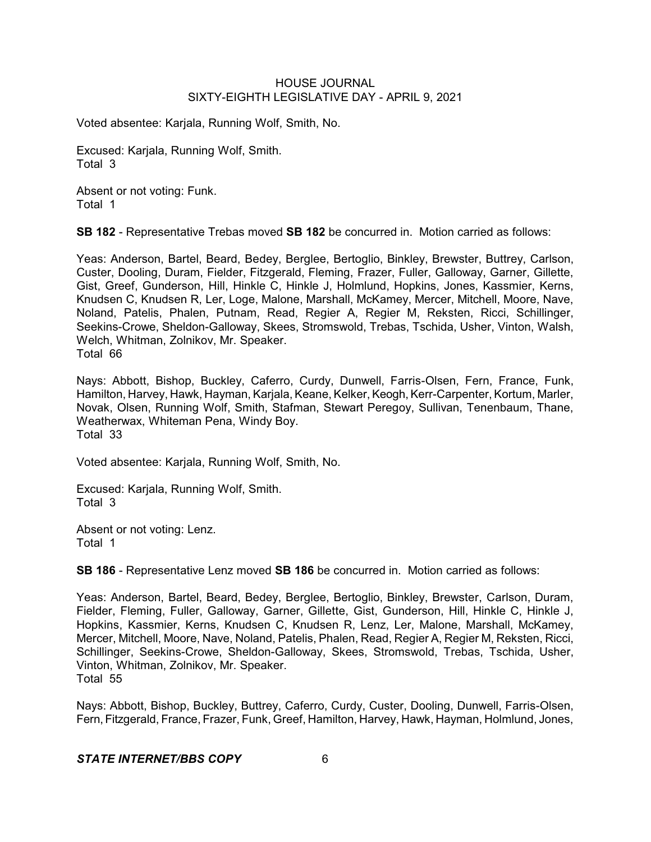Voted absentee: Karjala, Running Wolf, Smith, No.

Excused: Karjala, Running Wolf, Smith. Total 3

Absent or not voting: Funk. Total 1

**SB 182** - Representative Trebas moved **SB 182** be concurred in. Motion carried as follows:

Yeas: Anderson, Bartel, Beard, Bedey, Berglee, Bertoglio, Binkley, Brewster, Buttrey, Carlson, Custer, Dooling, Duram, Fielder, Fitzgerald, Fleming, Frazer, Fuller, Galloway, Garner, Gillette, Gist, Greef, Gunderson, Hill, Hinkle C, Hinkle J, Holmlund, Hopkins, Jones, Kassmier, Kerns, Knudsen C, Knudsen R, Ler, Loge, Malone, Marshall, McKamey, Mercer, Mitchell, Moore, Nave, Noland, Patelis, Phalen, Putnam, Read, Regier A, Regier M, Reksten, Ricci, Schillinger, Seekins-Crowe, Sheldon-Galloway, Skees, Stromswold, Trebas, Tschida, Usher, Vinton, Walsh, Welch, Whitman, Zolnikov, Mr. Speaker. Total 66

Nays: Abbott, Bishop, Buckley, Caferro, Curdy, Dunwell, Farris-Olsen, Fern, France, Funk, Hamilton, Harvey, Hawk, Hayman, Karjala, Keane, Kelker, Keogh, Kerr-Carpenter, Kortum, Marler, Novak, Olsen, Running Wolf, Smith, Stafman, Stewart Peregoy, Sullivan, Tenenbaum, Thane, Weatherwax, Whiteman Pena, Windy Boy. Total 33

Voted absentee: Karjala, Running Wolf, Smith, No.

Excused: Karjala, Running Wolf, Smith. Total 3

Absent or not voting: Lenz. Total 1

**SB 186** - Representative Lenz moved **SB 186** be concurred in. Motion carried as follows:

Yeas: Anderson, Bartel, Beard, Bedey, Berglee, Bertoglio, Binkley, Brewster, Carlson, Duram, Fielder, Fleming, Fuller, Galloway, Garner, Gillette, Gist, Gunderson, Hill, Hinkle C, Hinkle J, Hopkins, Kassmier, Kerns, Knudsen C, Knudsen R, Lenz, Ler, Malone, Marshall, McKamey, Mercer, Mitchell, Moore, Nave, Noland, Patelis, Phalen, Read, Regier A, Regier M, Reksten, Ricci, Schillinger, Seekins-Crowe, Sheldon-Galloway, Skees, Stromswold, Trebas, Tschida, Usher, Vinton, Whitman, Zolnikov, Mr. Speaker. Total 55

Nays: Abbott, Bishop, Buckley, Buttrey, Caferro, Curdy, Custer, Dooling, Dunwell, Farris-Olsen, Fern, Fitzgerald, France, Frazer, Funk, Greef, Hamilton, Harvey, Hawk, Hayman, Holmlund, Jones,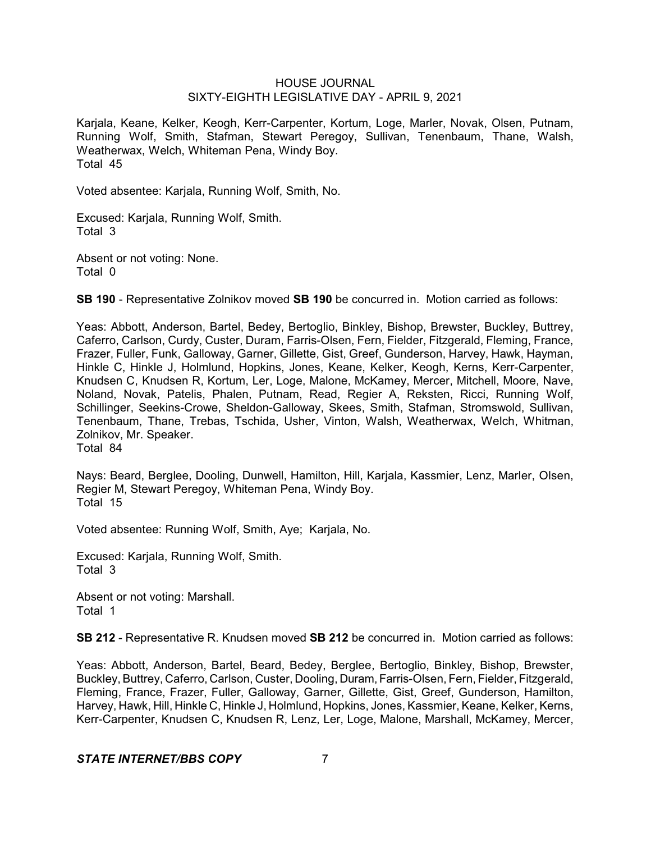Karjala, Keane, Kelker, Keogh, Kerr-Carpenter, Kortum, Loge, Marler, Novak, Olsen, Putnam, Running Wolf, Smith, Stafman, Stewart Peregoy, Sullivan, Tenenbaum, Thane, Walsh, Weatherwax, Welch, Whiteman Pena, Windy Boy. Total 45

Voted absentee: Karjala, Running Wolf, Smith, No.

Excused: Karjala, Running Wolf, Smith. Total 3

Absent or not voting: None. Total 0

**SB 190** - Representative Zolnikov moved **SB 190** be concurred in. Motion carried as follows:

Yeas: Abbott, Anderson, Bartel, Bedey, Bertoglio, Binkley, Bishop, Brewster, Buckley, Buttrey, Caferro, Carlson, Curdy, Custer, Duram, Farris-Olsen, Fern, Fielder, Fitzgerald, Fleming, France, Frazer, Fuller, Funk, Galloway, Garner, Gillette, Gist, Greef, Gunderson, Harvey, Hawk, Hayman, Hinkle C, Hinkle J, Holmlund, Hopkins, Jones, Keane, Kelker, Keogh, Kerns, Kerr-Carpenter, Knudsen C, Knudsen R, Kortum, Ler, Loge, Malone, McKamey, Mercer, Mitchell, Moore, Nave, Noland, Novak, Patelis, Phalen, Putnam, Read, Regier A, Reksten, Ricci, Running Wolf, Schillinger, Seekins-Crowe, Sheldon-Galloway, Skees, Smith, Stafman, Stromswold, Sullivan, Tenenbaum, Thane, Trebas, Tschida, Usher, Vinton, Walsh, Weatherwax, Welch, Whitman, Zolnikov, Mr. Speaker. Total 84

Nays: Beard, Berglee, Dooling, Dunwell, Hamilton, Hill, Karjala, Kassmier, Lenz, Marler, Olsen, Regier M, Stewart Peregoy, Whiteman Pena, Windy Boy. Total 15

Voted absentee: Running Wolf, Smith, Aye; Karjala, No.

Excused: Karjala, Running Wolf, Smith. Total 3

Absent or not voting: Marshall. Total 1

**SB 212** - Representative R. Knudsen moved **SB 212** be concurred in. Motion carried as follows:

Yeas: Abbott, Anderson, Bartel, Beard, Bedey, Berglee, Bertoglio, Binkley, Bishop, Brewster, Buckley, Buttrey, Caferro, Carlson, Custer, Dooling, Duram, Farris-Olsen, Fern, Fielder, Fitzgerald, Fleming, France, Frazer, Fuller, Galloway, Garner, Gillette, Gist, Greef, Gunderson, Hamilton, Harvey, Hawk, Hill, Hinkle C, Hinkle J, Holmlund, Hopkins, Jones, Kassmier, Keane, Kelker, Kerns, Kerr-Carpenter, Knudsen C, Knudsen R, Lenz, Ler, Loge, Malone, Marshall, McKamey, Mercer,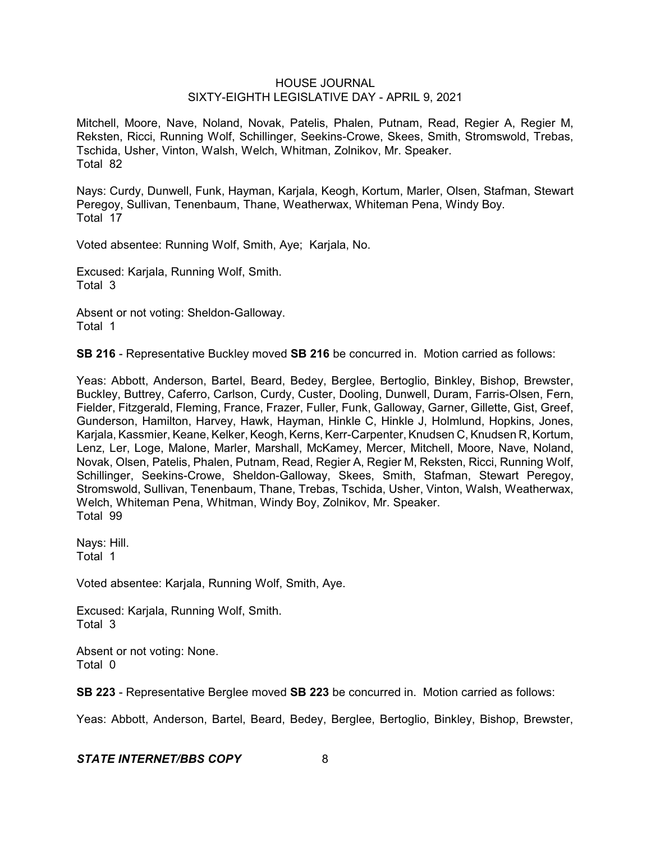Mitchell, Moore, Nave, Noland, Novak, Patelis, Phalen, Putnam, Read, Regier A, Regier M, Reksten, Ricci, Running Wolf, Schillinger, Seekins-Crowe, Skees, Smith, Stromswold, Trebas, Tschida, Usher, Vinton, Walsh, Welch, Whitman, Zolnikov, Mr. Speaker. Total 82

Nays: Curdy, Dunwell, Funk, Hayman, Karjala, Keogh, Kortum, Marler, Olsen, Stafman, Stewart Peregoy, Sullivan, Tenenbaum, Thane, Weatherwax, Whiteman Pena, Windy Boy. Total 17

Voted absentee: Running Wolf, Smith, Aye; Karjala, No.

Excused: Karjala, Running Wolf, Smith. Total 3

Absent or not voting: Sheldon-Galloway. Total 1

**SB 216** - Representative Buckley moved **SB 216** be concurred in. Motion carried as follows:

Yeas: Abbott, Anderson, Bartel, Beard, Bedey, Berglee, Bertoglio, Binkley, Bishop, Brewster, Buckley, Buttrey, Caferro, Carlson, Curdy, Custer, Dooling, Dunwell, Duram, Farris-Olsen, Fern, Fielder, Fitzgerald, Fleming, France, Frazer, Fuller, Funk, Galloway, Garner, Gillette, Gist, Greef, Gunderson, Hamilton, Harvey, Hawk, Hayman, Hinkle C, Hinkle J, Holmlund, Hopkins, Jones, Karjala, Kassmier, Keane, Kelker, Keogh, Kerns, Kerr-Carpenter, Knudsen C, Knudsen R, Kortum, Lenz, Ler, Loge, Malone, Marler, Marshall, McKamey, Mercer, Mitchell, Moore, Nave, Noland, Novak, Olsen, Patelis, Phalen, Putnam, Read, Regier A, Regier M, Reksten, Ricci, Running Wolf, Schillinger, Seekins-Crowe, Sheldon-Galloway, Skees, Smith, Stafman, Stewart Peregoy, Stromswold, Sullivan, Tenenbaum, Thane, Trebas, Tschida, Usher, Vinton, Walsh, Weatherwax, Welch, Whiteman Pena, Whitman, Windy Boy, Zolnikov, Mr. Speaker. Total 99

Nays: Hill. Total 1

Voted absentee: Karjala, Running Wolf, Smith, Aye.

Excused: Karjala, Running Wolf, Smith. Total 3

Absent or not voting: None. Total 0

**SB 223** - Representative Berglee moved **SB 223** be concurred in. Motion carried as follows:

Yeas: Abbott, Anderson, Bartel, Beard, Bedey, Berglee, Bertoglio, Binkley, Bishop, Brewster,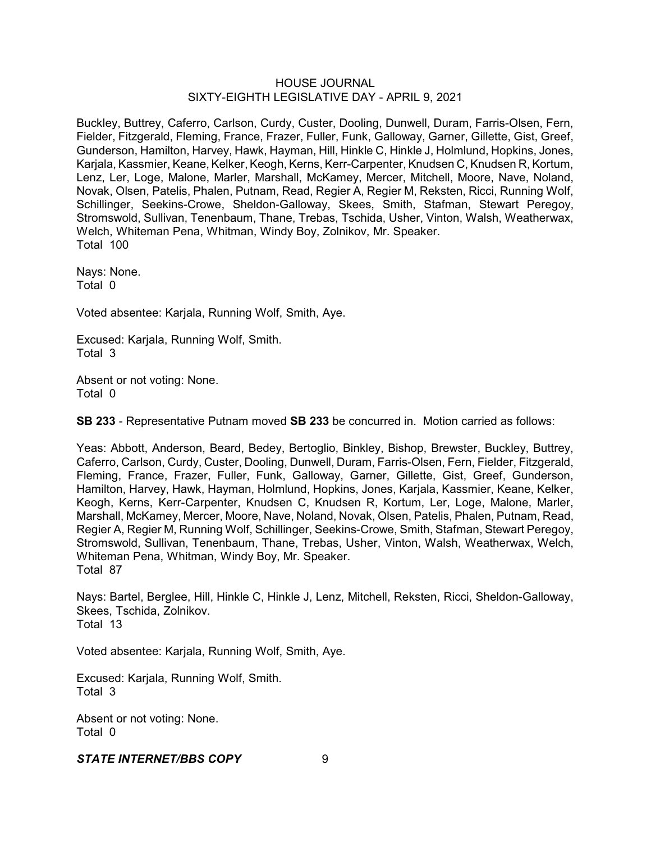Buckley, Buttrey, Caferro, Carlson, Curdy, Custer, Dooling, Dunwell, Duram, Farris-Olsen, Fern, Fielder, Fitzgerald, Fleming, France, Frazer, Fuller, Funk, Galloway, Garner, Gillette, Gist, Greef, Gunderson, Hamilton, Harvey, Hawk, Hayman, Hill, Hinkle C, Hinkle J, Holmlund, Hopkins, Jones, Karjala, Kassmier, Keane, Kelker, Keogh, Kerns, Kerr-Carpenter, Knudsen C, Knudsen R, Kortum, Lenz, Ler, Loge, Malone, Marler, Marshall, McKamey, Mercer, Mitchell, Moore, Nave, Noland, Novak, Olsen, Patelis, Phalen, Putnam, Read, Regier A, Regier M, Reksten, Ricci, Running Wolf, Schillinger, Seekins-Crowe, Sheldon-Galloway, Skees, Smith, Stafman, Stewart Peregoy, Stromswold, Sullivan, Tenenbaum, Thane, Trebas, Tschida, Usher, Vinton, Walsh, Weatherwax, Welch, Whiteman Pena, Whitman, Windy Boy, Zolnikov, Mr. Speaker. Total 100

Nays: None. Total 0

Voted absentee: Karjala, Running Wolf, Smith, Aye.

Excused: Karjala, Running Wolf, Smith. Total 3

Absent or not voting: None. Total 0

**SB 233** - Representative Putnam moved **SB 233** be concurred in. Motion carried as follows:

Yeas: Abbott, Anderson, Beard, Bedey, Bertoglio, Binkley, Bishop, Brewster, Buckley, Buttrey, Caferro, Carlson, Curdy, Custer, Dooling, Dunwell, Duram, Farris-Olsen, Fern, Fielder, Fitzgerald, Fleming, France, Frazer, Fuller, Funk, Galloway, Garner, Gillette, Gist, Greef, Gunderson, Hamilton, Harvey, Hawk, Hayman, Holmlund, Hopkins, Jones, Karjala, Kassmier, Keane, Kelker, Keogh, Kerns, Kerr-Carpenter, Knudsen C, Knudsen R, Kortum, Ler, Loge, Malone, Marler, Marshall, McKamey, Mercer, Moore, Nave, Noland, Novak, Olsen, Patelis, Phalen, Putnam, Read, Regier A, Regier M, Running Wolf, Schillinger, Seekins-Crowe, Smith, Stafman, Stewart Peregoy, Stromswold, Sullivan, Tenenbaum, Thane, Trebas, Usher, Vinton, Walsh, Weatherwax, Welch, Whiteman Pena, Whitman, Windy Boy, Mr. Speaker. Total 87

Nays: Bartel, Berglee, Hill, Hinkle C, Hinkle J, Lenz, Mitchell, Reksten, Ricci, Sheldon-Galloway, Skees, Tschida, Zolnikov. Total 13

Voted absentee: Karjala, Running Wolf, Smith, Aye.

Excused: Karjala, Running Wolf, Smith. Total 3

Absent or not voting: None. Total 0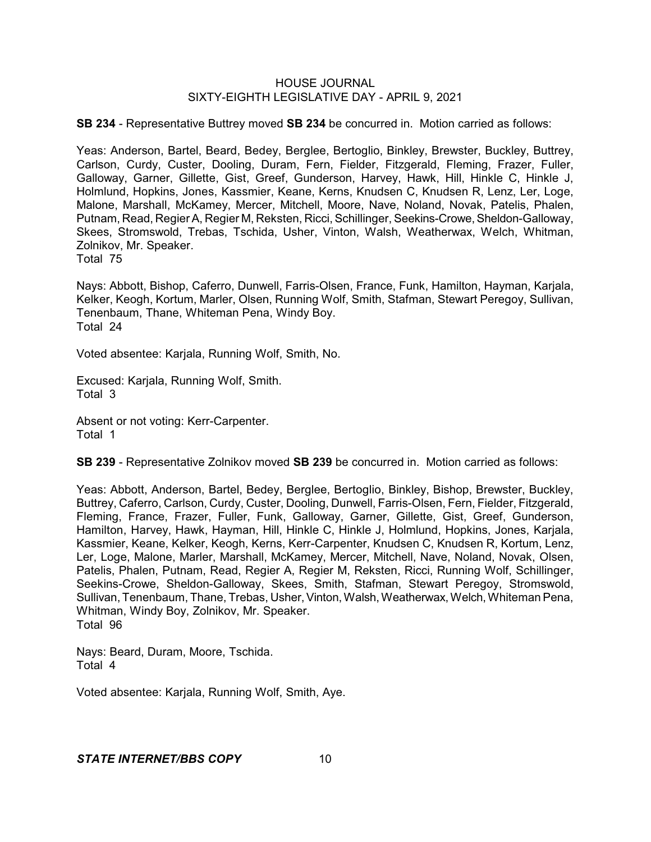**SB 234** - Representative Buttrey moved **SB 234** be concurred in. Motion carried as follows:

Yeas: Anderson, Bartel, Beard, Bedey, Berglee, Bertoglio, Binkley, Brewster, Buckley, Buttrey, Carlson, Curdy, Custer, Dooling, Duram, Fern, Fielder, Fitzgerald, Fleming, Frazer, Fuller, Galloway, Garner, Gillette, Gist, Greef, Gunderson, Harvey, Hawk, Hill, Hinkle C, Hinkle J, Holmlund, Hopkins, Jones, Kassmier, Keane, Kerns, Knudsen C, Knudsen R, Lenz, Ler, Loge, Malone, Marshall, McKamey, Mercer, Mitchell, Moore, Nave, Noland, Novak, Patelis, Phalen, Putnam, Read, Regier A, Regier M, Reksten, Ricci, Schillinger, Seekins-Crowe, Sheldon-Galloway, Skees, Stromswold, Trebas, Tschida, Usher, Vinton, Walsh, Weatherwax, Welch, Whitman, Zolnikov, Mr. Speaker. Total 75

Nays: Abbott, Bishop, Caferro, Dunwell, Farris-Olsen, France, Funk, Hamilton, Hayman, Karjala, Kelker, Keogh, Kortum, Marler, Olsen, Running Wolf, Smith, Stafman, Stewart Peregoy, Sullivan, Tenenbaum, Thane, Whiteman Pena, Windy Boy. Total 24

Voted absentee: Karjala, Running Wolf, Smith, No.

Excused: Karjala, Running Wolf, Smith. Total 3

Absent or not voting: Kerr-Carpenter. Total 1

**SB 239** - Representative Zolnikov moved **SB 239** be concurred in. Motion carried as follows:

Yeas: Abbott, Anderson, Bartel, Bedey, Berglee, Bertoglio, Binkley, Bishop, Brewster, Buckley, Buttrey, Caferro, Carlson, Curdy, Custer, Dooling, Dunwell, Farris-Olsen, Fern, Fielder, Fitzgerald, Fleming, France, Frazer, Fuller, Funk, Galloway, Garner, Gillette, Gist, Greef, Gunderson, Hamilton, Harvey, Hawk, Hayman, Hill, Hinkle C, Hinkle J, Holmlund, Hopkins, Jones, Karjala, Kassmier, Keane, Kelker, Keogh, Kerns, Kerr-Carpenter, Knudsen C, Knudsen R, Kortum, Lenz, Ler, Loge, Malone, Marler, Marshall, McKamey, Mercer, Mitchell, Nave, Noland, Novak, Olsen, Patelis, Phalen, Putnam, Read, Regier A, Regier M, Reksten, Ricci, Running Wolf, Schillinger, Seekins-Crowe, Sheldon-Galloway, Skees, Smith, Stafman, Stewart Peregoy, Stromswold, Sullivan, Tenenbaum, Thane, Trebas, Usher, Vinton, Walsh, Weatherwax, Welch, Whiteman Pena, Whitman, Windy Boy, Zolnikov, Mr. Speaker. Total 96

Nays: Beard, Duram, Moore, Tschida. Total 4

Voted absentee: Karjala, Running Wolf, Smith, Aye.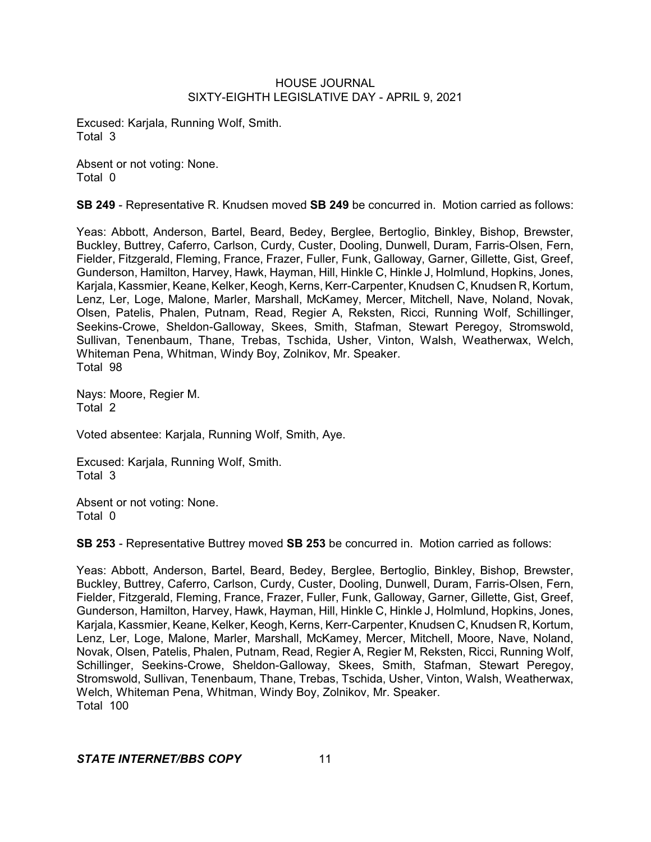Excused: Karjala, Running Wolf, Smith. Total 3

Absent or not voting: None. Total 0

**SB 249** - Representative R. Knudsen moved **SB 249** be concurred in. Motion carried as follows:

Yeas: Abbott, Anderson, Bartel, Beard, Bedey, Berglee, Bertoglio, Binkley, Bishop, Brewster, Buckley, Buttrey, Caferro, Carlson, Curdy, Custer, Dooling, Dunwell, Duram, Farris-Olsen, Fern, Fielder, Fitzgerald, Fleming, France, Frazer, Fuller, Funk, Galloway, Garner, Gillette, Gist, Greef, Gunderson, Hamilton, Harvey, Hawk, Hayman, Hill, Hinkle C, Hinkle J, Holmlund, Hopkins, Jones, Karjala, Kassmier, Keane, Kelker, Keogh, Kerns, Kerr-Carpenter, Knudsen C, Knudsen R, Kortum, Lenz, Ler, Loge, Malone, Marler, Marshall, McKamey, Mercer, Mitchell, Nave, Noland, Novak, Olsen, Patelis, Phalen, Putnam, Read, Regier A, Reksten, Ricci, Running Wolf, Schillinger, Seekins-Crowe, Sheldon-Galloway, Skees, Smith, Stafman, Stewart Peregoy, Stromswold, Sullivan, Tenenbaum, Thane, Trebas, Tschida, Usher, Vinton, Walsh, Weatherwax, Welch, Whiteman Pena, Whitman, Windy Boy, Zolnikov, Mr. Speaker. Total 98

Nays: Moore, Regier M. Total 2

Voted absentee: Karjala, Running Wolf, Smith, Aye.

Excused: Karjala, Running Wolf, Smith. Total 3

Absent or not voting: None. Total 0

**SB 253** - Representative Buttrey moved **SB 253** be concurred in. Motion carried as follows:

Yeas: Abbott, Anderson, Bartel, Beard, Bedey, Berglee, Bertoglio, Binkley, Bishop, Brewster, Buckley, Buttrey, Caferro, Carlson, Curdy, Custer, Dooling, Dunwell, Duram, Farris-Olsen, Fern, Fielder, Fitzgerald, Fleming, France, Frazer, Fuller, Funk, Galloway, Garner, Gillette, Gist, Greef, Gunderson, Hamilton, Harvey, Hawk, Hayman, Hill, Hinkle C, Hinkle J, Holmlund, Hopkins, Jones, Karjala, Kassmier, Keane, Kelker, Keogh, Kerns, Kerr-Carpenter, Knudsen C, Knudsen R, Kortum, Lenz, Ler, Loge, Malone, Marler, Marshall, McKamey, Mercer, Mitchell, Moore, Nave, Noland, Novak, Olsen, Patelis, Phalen, Putnam, Read, Regier A, Regier M, Reksten, Ricci, Running Wolf, Schillinger, Seekins-Crowe, Sheldon-Galloway, Skees, Smith, Stafman, Stewart Peregoy, Stromswold, Sullivan, Tenenbaum, Thane, Trebas, Tschida, Usher, Vinton, Walsh, Weatherwax, Welch, Whiteman Pena, Whitman, Windy Boy, Zolnikov, Mr. Speaker. Total 100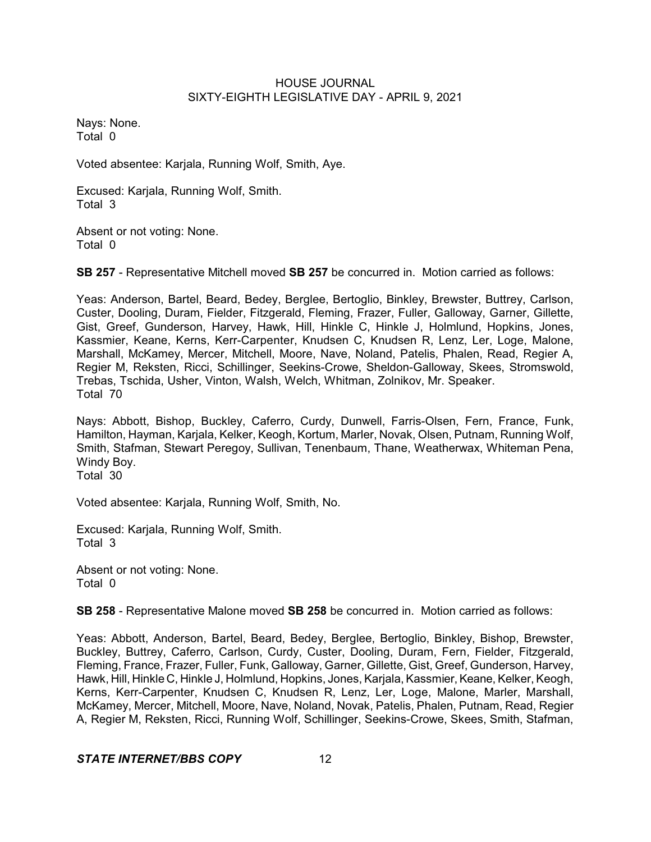Nays: None. Total 0

Voted absentee: Karjala, Running Wolf, Smith, Aye.

Excused: Karjala, Running Wolf, Smith. Total 3

Absent or not voting: None. Total 0

**SB 257** - Representative Mitchell moved **SB 257** be concurred in. Motion carried as follows:

Yeas: Anderson, Bartel, Beard, Bedey, Berglee, Bertoglio, Binkley, Brewster, Buttrey, Carlson, Custer, Dooling, Duram, Fielder, Fitzgerald, Fleming, Frazer, Fuller, Galloway, Garner, Gillette, Gist, Greef, Gunderson, Harvey, Hawk, Hill, Hinkle C, Hinkle J, Holmlund, Hopkins, Jones, Kassmier, Keane, Kerns, Kerr-Carpenter, Knudsen C, Knudsen R, Lenz, Ler, Loge, Malone, Marshall, McKamey, Mercer, Mitchell, Moore, Nave, Noland, Patelis, Phalen, Read, Regier A, Regier M, Reksten, Ricci, Schillinger, Seekins-Crowe, Sheldon-Galloway, Skees, Stromswold, Trebas, Tschida, Usher, Vinton, Walsh, Welch, Whitman, Zolnikov, Mr. Speaker. Total 70

Nays: Abbott, Bishop, Buckley, Caferro, Curdy, Dunwell, Farris-Olsen, Fern, France, Funk, Hamilton, Hayman, Karjala, Kelker, Keogh, Kortum, Marler, Novak, Olsen, Putnam, Running Wolf, Smith, Stafman, Stewart Peregoy, Sullivan, Tenenbaum, Thane, Weatherwax, Whiteman Pena, Windy Boy.

Total 30

Voted absentee: Karjala, Running Wolf, Smith, No.

Excused: Karjala, Running Wolf, Smith. Total 3

Absent or not voting: None. Total 0

**SB 258** - Representative Malone moved **SB 258** be concurred in. Motion carried as follows:

Yeas: Abbott, Anderson, Bartel, Beard, Bedey, Berglee, Bertoglio, Binkley, Bishop, Brewster, Buckley, Buttrey, Caferro, Carlson, Curdy, Custer, Dooling, Duram, Fern, Fielder, Fitzgerald, Fleming, France, Frazer, Fuller, Funk, Galloway, Garner, Gillette, Gist, Greef, Gunderson, Harvey, Hawk, Hill, Hinkle C, Hinkle J, Holmlund, Hopkins, Jones, Karjala, Kassmier, Keane, Kelker, Keogh, Kerns, Kerr-Carpenter, Knudsen C, Knudsen R, Lenz, Ler, Loge, Malone, Marler, Marshall, McKamey, Mercer, Mitchell, Moore, Nave, Noland, Novak, Patelis, Phalen, Putnam, Read, Regier A, Regier M, Reksten, Ricci, Running Wolf, Schillinger, Seekins-Crowe, Skees, Smith, Stafman,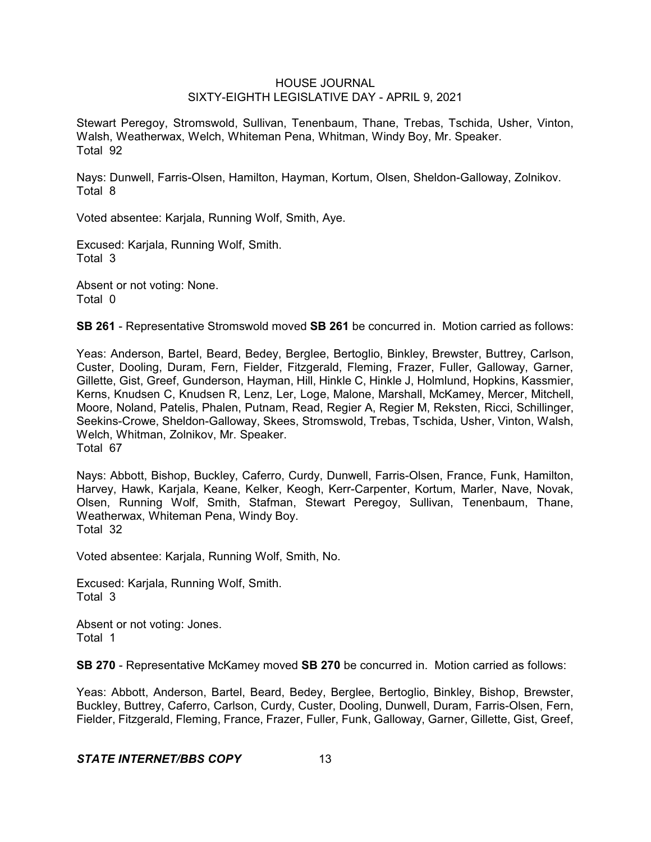Stewart Peregoy, Stromswold, Sullivan, Tenenbaum, Thane, Trebas, Tschida, Usher, Vinton, Walsh, Weatherwax, Welch, Whiteman Pena, Whitman, Windy Boy, Mr. Speaker. Total 92

Nays: Dunwell, Farris-Olsen, Hamilton, Hayman, Kortum, Olsen, Sheldon-Galloway, Zolnikov. Total 8

Voted absentee: Karjala, Running Wolf, Smith, Aye.

Excused: Karjala, Running Wolf, Smith. Total 3

Absent or not voting: None. Total 0

**SB 261** - Representative Stromswold moved **SB 261** be concurred in. Motion carried as follows:

Yeas: Anderson, Bartel, Beard, Bedey, Berglee, Bertoglio, Binkley, Brewster, Buttrey, Carlson, Custer, Dooling, Duram, Fern, Fielder, Fitzgerald, Fleming, Frazer, Fuller, Galloway, Garner, Gillette, Gist, Greef, Gunderson, Hayman, Hill, Hinkle C, Hinkle J, Holmlund, Hopkins, Kassmier, Kerns, Knudsen C, Knudsen R, Lenz, Ler, Loge, Malone, Marshall, McKamey, Mercer, Mitchell, Moore, Noland, Patelis, Phalen, Putnam, Read, Regier A, Regier M, Reksten, Ricci, Schillinger, Seekins-Crowe, Sheldon-Galloway, Skees, Stromswold, Trebas, Tschida, Usher, Vinton, Walsh, Welch, Whitman, Zolnikov, Mr. Speaker. Total 67

Nays: Abbott, Bishop, Buckley, Caferro, Curdy, Dunwell, Farris-Olsen, France, Funk, Hamilton, Harvey, Hawk, Karjala, Keane, Kelker, Keogh, Kerr-Carpenter, Kortum, Marler, Nave, Novak, Olsen, Running Wolf, Smith, Stafman, Stewart Peregoy, Sullivan, Tenenbaum, Thane, Weatherwax, Whiteman Pena, Windy Boy. Total 32

Voted absentee: Karjala, Running Wolf, Smith, No.

Excused: Karjala, Running Wolf, Smith. Total 3

Absent or not voting: Jones. Total 1

**SB 270** - Representative McKamey moved **SB 270** be concurred in. Motion carried as follows:

Yeas: Abbott, Anderson, Bartel, Beard, Bedey, Berglee, Bertoglio, Binkley, Bishop, Brewster, Buckley, Buttrey, Caferro, Carlson, Curdy, Custer, Dooling, Dunwell, Duram, Farris-Olsen, Fern, Fielder, Fitzgerald, Fleming, France, Frazer, Fuller, Funk, Galloway, Garner, Gillette, Gist, Greef,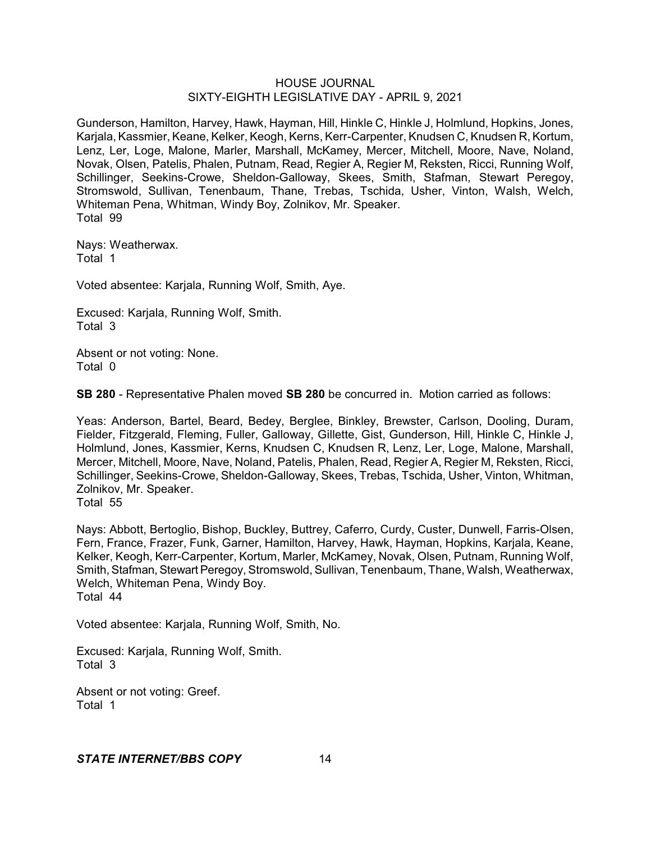Gunderson, Hamilton, Harvey, Hawk, Hayman, Hill, Hinkle C, Hinkle J, Holmlund, Hopkins, Jones, Karjala, Kassmier, Keane, Kelker, Keogh, Kerns, Kerr-Carpenter, Knudsen C, Knudsen R, Kortum, Lenz, Ler, Loge, Malone, Marler, Marshall, McKamey, Mercer, Mitchell, Moore, Nave, Noland, Novak, Olsen, Patelis, Phalen, Putnam, Read, Regier A, Regier M, Reksten, Ricci, Running Wolf, Schillinger, Seekins-Crowe, Sheldon-Galloway, Skees, Smith, Stafman, Stewart Peregoy, Stromswold, Sullivan, Tenenbaum, Thane, Trebas, Tschida, Usher, Vinton, Walsh, Welch, Whiteman Pena, Whitman, Windy Boy, Zolnikov, Mr. Speaker. Total 99

Nays: Weatherwax. Total 1

Voted absentee: Karjala, Running Wolf, Smith, Aye.

Excused: Karjala, Running Wolf, Smith. Total 3

Absent or not voting: None. Total 0

**SB 280** - Representative Phalen moved **SB 280** be concurred in. Motion carried as follows:

Yeas: Anderson, Bartel, Beard, Bedey, Berglee, Binkley, Brewster, Carlson, Dooling, Duram, Fielder, Fitzgerald, Fleming, Fuller, Galloway, Gillette, Gist, Gunderson, Hill, Hinkle C, Hinkle J, Holmlund, Jones, Kassmier, Kerns, Knudsen C, Knudsen R, Lenz, Ler, Loge, Malone, Marshall, Mercer, Mitchell, Moore, Nave, Noland, Patelis, Phalen, Read, Regier A, Regier M, Reksten, Ricci, Schillinger, Seekins-Crowe, Sheldon-Galloway, Skees, Trebas, Tschida, Usher, Vinton, Whitman, Zolnikov, Mr. Speaker.

Total 55

Nays: Abbott, Bertoglio, Bishop, Buckley, Buttrey, Caferro, Curdy, Custer, Dunwell, Farris-Olsen, Fern, France, Frazer, Funk, Garner, Hamilton, Harvey, Hawk, Hayman, Hopkins, Karjala, Keane, Kelker, Keogh, Kerr-Carpenter, Kortum, Marler, McKamey, Novak, Olsen, Putnam, Running Wolf, Smith, Stafman, Stewart Peregoy, Stromswold, Sullivan, Tenenbaum, Thane, Walsh, Weatherwax, Welch, Whiteman Pena, Windy Boy. Total 44

Voted absentee: Karjala, Running Wolf, Smith, No.

Excused: Karjala, Running Wolf, Smith. Total 3

Absent or not voting: Greef. Total 1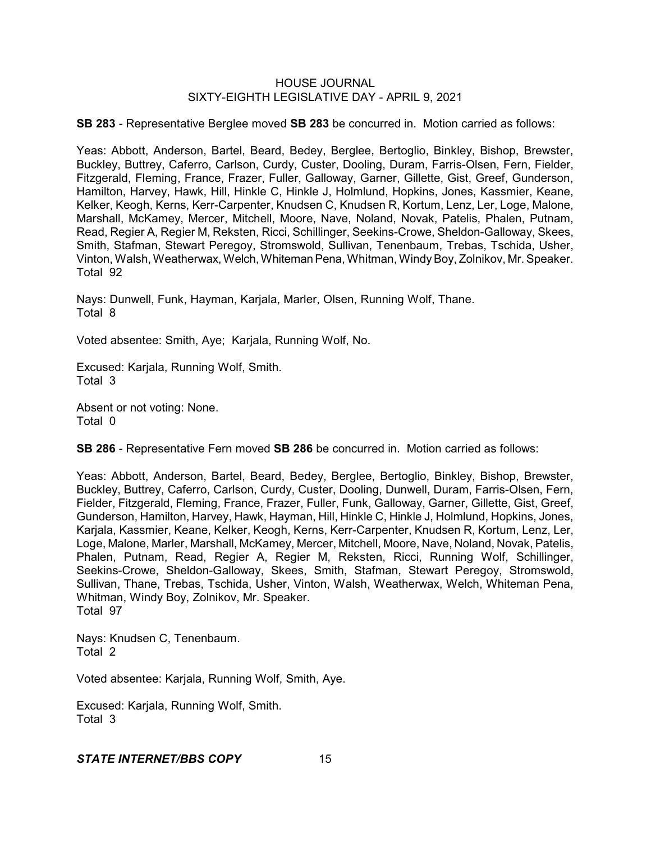**SB 283** - Representative Berglee moved **SB 283** be concurred in. Motion carried as follows:

Yeas: Abbott, Anderson, Bartel, Beard, Bedey, Berglee, Bertoglio, Binkley, Bishop, Brewster, Buckley, Buttrey, Caferro, Carlson, Curdy, Custer, Dooling, Duram, Farris-Olsen, Fern, Fielder, Fitzgerald, Fleming, France, Frazer, Fuller, Galloway, Garner, Gillette, Gist, Greef, Gunderson, Hamilton, Harvey, Hawk, Hill, Hinkle C, Hinkle J, Holmlund, Hopkins, Jones, Kassmier, Keane, Kelker, Keogh, Kerns, Kerr-Carpenter, Knudsen C, Knudsen R, Kortum, Lenz, Ler, Loge, Malone, Marshall, McKamey, Mercer, Mitchell, Moore, Nave, Noland, Novak, Patelis, Phalen, Putnam, Read, Regier A, Regier M, Reksten, Ricci, Schillinger, Seekins-Crowe, Sheldon-Galloway, Skees, Smith, Stafman, Stewart Peregoy, Stromswold, Sullivan, Tenenbaum, Trebas, Tschida, Usher, Vinton, Walsh, Weatherwax, Welch, Whiteman Pena, Whitman, Windy Boy, Zolnikov, Mr. Speaker. Total 92

Nays: Dunwell, Funk, Hayman, Karjala, Marler, Olsen, Running Wolf, Thane. Total 8

Voted absentee: Smith, Aye; Karjala, Running Wolf, No.

Excused: Karjala, Running Wolf, Smith. Total 3

Absent or not voting: None. Total 0

**SB 286** - Representative Fern moved **SB 286** be concurred in. Motion carried as follows:

Yeas: Abbott, Anderson, Bartel, Beard, Bedey, Berglee, Bertoglio, Binkley, Bishop, Brewster, Buckley, Buttrey, Caferro, Carlson, Curdy, Custer, Dooling, Dunwell, Duram, Farris-Olsen, Fern, Fielder, Fitzgerald, Fleming, France, Frazer, Fuller, Funk, Galloway, Garner, Gillette, Gist, Greef, Gunderson, Hamilton, Harvey, Hawk, Hayman, Hill, Hinkle C, Hinkle J, Holmlund, Hopkins, Jones, Karjala, Kassmier, Keane, Kelker, Keogh, Kerns, Kerr-Carpenter, Knudsen R, Kortum, Lenz, Ler, Loge, Malone, Marler, Marshall, McKamey, Mercer, Mitchell, Moore, Nave, Noland, Novak, Patelis, Phalen, Putnam, Read, Regier A, Regier M, Reksten, Ricci, Running Wolf, Schillinger, Seekins-Crowe, Sheldon-Galloway, Skees, Smith, Stafman, Stewart Peregoy, Stromswold, Sullivan, Thane, Trebas, Tschida, Usher, Vinton, Walsh, Weatherwax, Welch, Whiteman Pena, Whitman, Windy Boy, Zolnikov, Mr. Speaker. Total 97

Nays: Knudsen C, Tenenbaum. Total 2

Voted absentee: Karjala, Running Wolf, Smith, Aye.

Excused: Karjala, Running Wolf, Smith. Total 3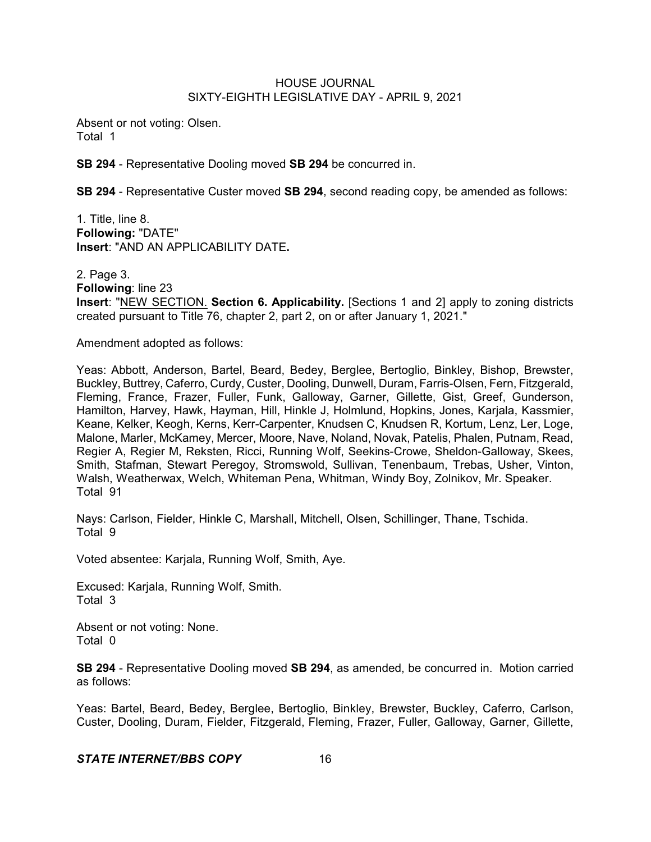Absent or not voting: Olsen. Total 1

**SB 294** - Representative Dooling moved **SB 294** be concurred in.

**SB 294** - Representative Custer moved **SB 294**, second reading copy, be amended as follows:

1. Title, line 8. **Following:** "DATE" **Insert**: "AND AN APPLICABILITY DATE**.**

2. Page 3. **Following**: line 23 **Insert**: "NEW SECTION. **Section 6. Applicability.** [Sections 1 and 2] apply to zoning districts created pursuant to Title 76, chapter 2, part 2, on or after January 1, 2021."

Amendment adopted as follows:

Yeas: Abbott, Anderson, Bartel, Beard, Bedey, Berglee, Bertoglio, Binkley, Bishop, Brewster, Buckley, Buttrey, Caferro, Curdy, Custer, Dooling, Dunwell, Duram, Farris-Olsen, Fern, Fitzgerald, Fleming, France, Frazer, Fuller, Funk, Galloway, Garner, Gillette, Gist, Greef, Gunderson, Hamilton, Harvey, Hawk, Hayman, Hill, Hinkle J, Holmlund, Hopkins, Jones, Karjala, Kassmier, Keane, Kelker, Keogh, Kerns, Kerr-Carpenter, Knudsen C, Knudsen R, Kortum, Lenz, Ler, Loge, Malone, Marler, McKamey, Mercer, Moore, Nave, Noland, Novak, Patelis, Phalen, Putnam, Read, Regier A, Regier M, Reksten, Ricci, Running Wolf, Seekins-Crowe, Sheldon-Galloway, Skees, Smith, Stafman, Stewart Peregoy, Stromswold, Sullivan, Tenenbaum, Trebas, Usher, Vinton, Walsh, Weatherwax, Welch, Whiteman Pena, Whitman, Windy Boy, Zolnikov, Mr. Speaker. Total 91

Nays: Carlson, Fielder, Hinkle C, Marshall, Mitchell, Olsen, Schillinger, Thane, Tschida. Total 9

Voted absentee: Karjala, Running Wolf, Smith, Aye.

Excused: Karjala, Running Wolf, Smith. Total 3

Absent or not voting: None. Total 0

**SB 294** - Representative Dooling moved **SB 294**, as amended, be concurred in. Motion carried as follows:

Yeas: Bartel, Beard, Bedey, Berglee, Bertoglio, Binkley, Brewster, Buckley, Caferro, Carlson, Custer, Dooling, Duram, Fielder, Fitzgerald, Fleming, Frazer, Fuller, Galloway, Garner, Gillette,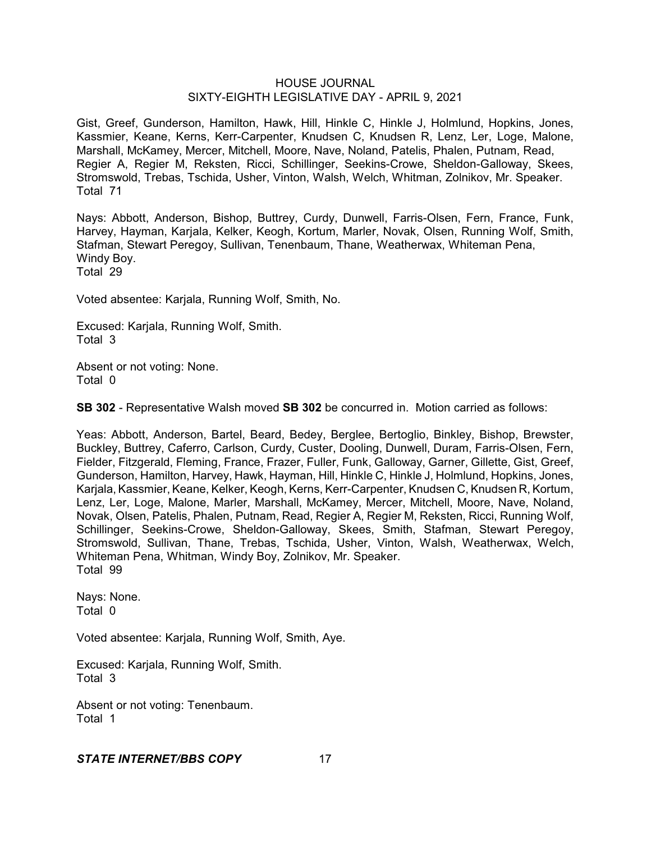Gist, Greef, Gunderson, Hamilton, Hawk, Hill, Hinkle C, Hinkle J, Holmlund, Hopkins, Jones, Kassmier, Keane, Kerns, Kerr-Carpenter, Knudsen C, Knudsen R, Lenz, Ler, Loge, Malone, Marshall, McKamey, Mercer, Mitchell, Moore, Nave, Noland, Patelis, Phalen, Putnam, Read, Regier A, Regier M, Reksten, Ricci, Schillinger, Seekins-Crowe, Sheldon-Galloway, Skees, Stromswold, Trebas, Tschida, Usher, Vinton, Walsh, Welch, Whitman, Zolnikov, Mr. Speaker. Total 71

Nays: Abbott, Anderson, Bishop, Buttrey, Curdy, Dunwell, Farris-Olsen, Fern, France, Funk, Harvey, Hayman, Karjala, Kelker, Keogh, Kortum, Marler, Novak, Olsen, Running Wolf, Smith, Stafman, Stewart Peregoy, Sullivan, Tenenbaum, Thane, Weatherwax, Whiteman Pena, Windy Boy. Total 29

Voted absentee: Karjala, Running Wolf, Smith, No.

Excused: Karjala, Running Wolf, Smith. Total 3

Absent or not voting: None. Total 0

**SB 302** - Representative Walsh moved **SB 302** be concurred in. Motion carried as follows:

Yeas: Abbott, Anderson, Bartel, Beard, Bedey, Berglee, Bertoglio, Binkley, Bishop, Brewster, Buckley, Buttrey, Caferro, Carlson, Curdy, Custer, Dooling, Dunwell, Duram, Farris-Olsen, Fern, Fielder, Fitzgerald, Fleming, France, Frazer, Fuller, Funk, Galloway, Garner, Gillette, Gist, Greef, Gunderson, Hamilton, Harvey, Hawk, Hayman, Hill, Hinkle C, Hinkle J, Holmlund, Hopkins, Jones, Karjala, Kassmier, Keane, Kelker, Keogh, Kerns, Kerr-Carpenter, Knudsen C, Knudsen R, Kortum, Lenz, Ler, Loge, Malone, Marler, Marshall, McKamey, Mercer, Mitchell, Moore, Nave, Noland, Novak, Olsen, Patelis, Phalen, Putnam, Read, Regier A, Regier M, Reksten, Ricci, Running Wolf, Schillinger, Seekins-Crowe, Sheldon-Galloway, Skees, Smith, Stafman, Stewart Peregoy, Stromswold, Sullivan, Thane, Trebas, Tschida, Usher, Vinton, Walsh, Weatherwax, Welch, Whiteman Pena, Whitman, Windy Boy, Zolnikov, Mr. Speaker. Total 99

Nays: None. Total 0

Voted absentee: Karjala, Running Wolf, Smith, Aye.

Excused: Karjala, Running Wolf, Smith. Total 3

Absent or not voting: Tenenbaum. Total 1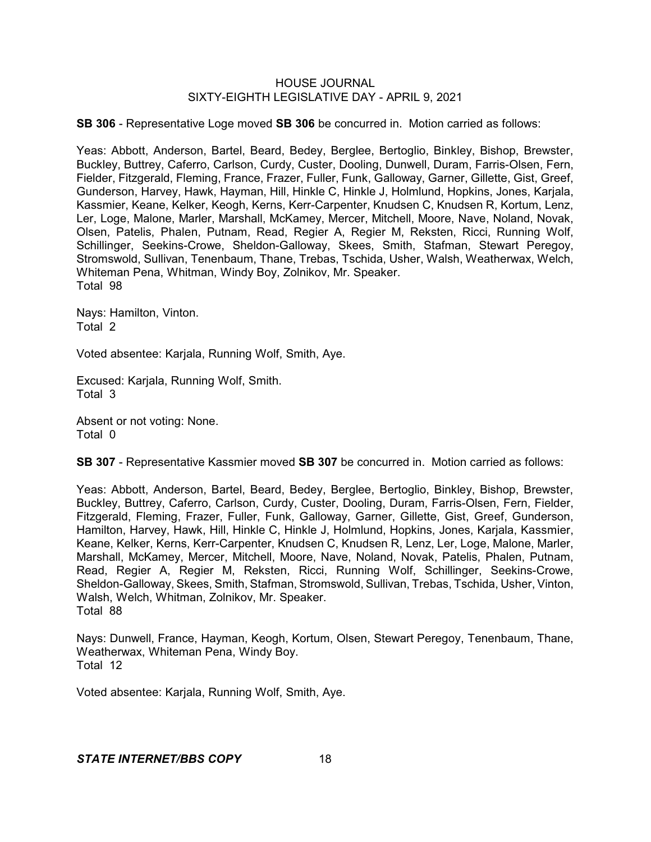**SB 306** - Representative Loge moved **SB 306** be concurred in. Motion carried as follows:

Yeas: Abbott, Anderson, Bartel, Beard, Bedey, Berglee, Bertoglio, Binkley, Bishop, Brewster, Buckley, Buttrey, Caferro, Carlson, Curdy, Custer, Dooling, Dunwell, Duram, Farris-Olsen, Fern, Fielder, Fitzgerald, Fleming, France, Frazer, Fuller, Funk, Galloway, Garner, Gillette, Gist, Greef, Gunderson, Harvey, Hawk, Hayman, Hill, Hinkle C, Hinkle J, Holmlund, Hopkins, Jones, Karjala, Kassmier, Keane, Kelker, Keogh, Kerns, Kerr-Carpenter, Knudsen C, Knudsen R, Kortum, Lenz, Ler, Loge, Malone, Marler, Marshall, McKamey, Mercer, Mitchell, Moore, Nave, Noland, Novak, Olsen, Patelis, Phalen, Putnam, Read, Regier A, Regier M, Reksten, Ricci, Running Wolf, Schillinger, Seekins-Crowe, Sheldon-Galloway, Skees, Smith, Stafman, Stewart Peregoy, Stromswold, Sullivan, Tenenbaum, Thane, Trebas, Tschida, Usher, Walsh, Weatherwax, Welch, Whiteman Pena, Whitman, Windy Boy, Zolnikov, Mr. Speaker. Total 98

Nays: Hamilton, Vinton. Total 2

Voted absentee: Karjala, Running Wolf, Smith, Aye.

Excused: Karjala, Running Wolf, Smith. Total 3

Absent or not voting: None. Total 0

**SB 307** - Representative Kassmier moved **SB 307** be concurred in. Motion carried as follows:

Yeas: Abbott, Anderson, Bartel, Beard, Bedey, Berglee, Bertoglio, Binkley, Bishop, Brewster, Buckley, Buttrey, Caferro, Carlson, Curdy, Custer, Dooling, Duram, Farris-Olsen, Fern, Fielder, Fitzgerald, Fleming, Frazer, Fuller, Funk, Galloway, Garner, Gillette, Gist, Greef, Gunderson, Hamilton, Harvey, Hawk, Hill, Hinkle C, Hinkle J, Holmlund, Hopkins, Jones, Karjala, Kassmier, Keane, Kelker, Kerns, Kerr-Carpenter, Knudsen C, Knudsen R, Lenz, Ler, Loge, Malone, Marler, Marshall, McKamey, Mercer, Mitchell, Moore, Nave, Noland, Novak, Patelis, Phalen, Putnam, Read, Regier A, Regier M, Reksten, Ricci, Running Wolf, Schillinger, Seekins-Crowe, Sheldon-Galloway, Skees, Smith, Stafman, Stromswold, Sullivan, Trebas, Tschida, Usher, Vinton, Walsh, Welch, Whitman, Zolnikov, Mr. Speaker. Total 88

Nays: Dunwell, France, Hayman, Keogh, Kortum, Olsen, Stewart Peregoy, Tenenbaum, Thane, Weatherwax, Whiteman Pena, Windy Boy. Total 12

Voted absentee: Karjala, Running Wolf, Smith, Aye.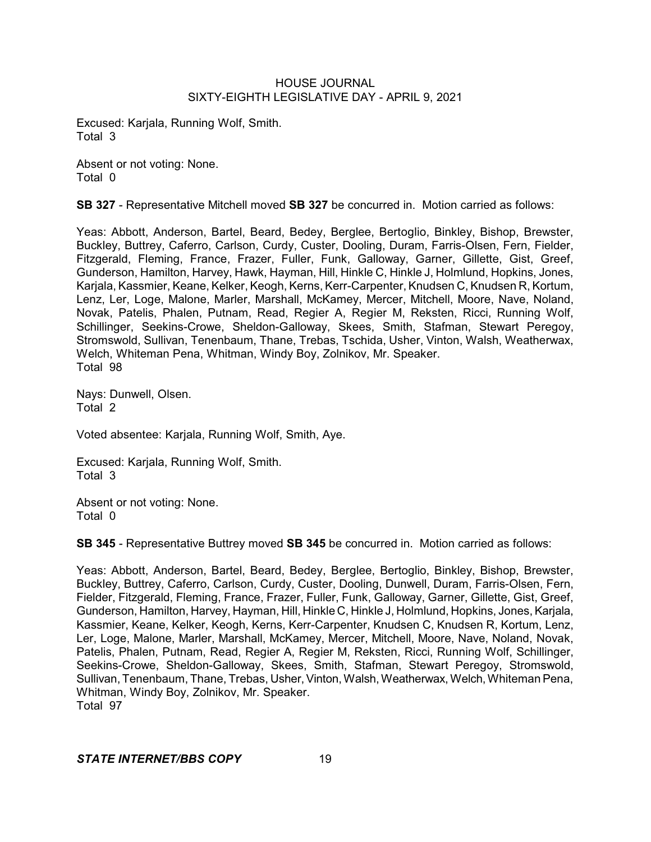Excused: Karjala, Running Wolf, Smith. Total 3

Absent or not voting: None. Total 0

**SB 327** - Representative Mitchell moved **SB 327** be concurred in. Motion carried as follows:

Yeas: Abbott, Anderson, Bartel, Beard, Bedey, Berglee, Bertoglio, Binkley, Bishop, Brewster, Buckley, Buttrey, Caferro, Carlson, Curdy, Custer, Dooling, Duram, Farris-Olsen, Fern, Fielder, Fitzgerald, Fleming, France, Frazer, Fuller, Funk, Galloway, Garner, Gillette, Gist, Greef, Gunderson, Hamilton, Harvey, Hawk, Hayman, Hill, Hinkle C, Hinkle J, Holmlund, Hopkins, Jones, Karjala, Kassmier, Keane, Kelker, Keogh, Kerns, Kerr-Carpenter, Knudsen C, Knudsen R, Kortum, Lenz, Ler, Loge, Malone, Marler, Marshall, McKamey, Mercer, Mitchell, Moore, Nave, Noland, Novak, Patelis, Phalen, Putnam, Read, Regier A, Regier M, Reksten, Ricci, Running Wolf, Schillinger, Seekins-Crowe, Sheldon-Galloway, Skees, Smith, Stafman, Stewart Peregoy, Stromswold, Sullivan, Tenenbaum, Thane, Trebas, Tschida, Usher, Vinton, Walsh, Weatherwax, Welch, Whiteman Pena, Whitman, Windy Boy, Zolnikov, Mr. Speaker. Total 98

Nays: Dunwell, Olsen. Total 2

Voted absentee: Karjala, Running Wolf, Smith, Aye.

Excused: Karjala, Running Wolf, Smith. Total 3

Absent or not voting: None. Total 0

**SB 345** - Representative Buttrey moved **SB 345** be concurred in. Motion carried as follows:

Yeas: Abbott, Anderson, Bartel, Beard, Bedey, Berglee, Bertoglio, Binkley, Bishop, Brewster, Buckley, Buttrey, Caferro, Carlson, Curdy, Custer, Dooling, Dunwell, Duram, Farris-Olsen, Fern, Fielder, Fitzgerald, Fleming, France, Frazer, Fuller, Funk, Galloway, Garner, Gillette, Gist, Greef, Gunderson, Hamilton, Harvey, Hayman, Hill, Hinkle C, Hinkle J, Holmlund, Hopkins, Jones, Karjala, Kassmier, Keane, Kelker, Keogh, Kerns, Kerr-Carpenter, Knudsen C, Knudsen R, Kortum, Lenz, Ler, Loge, Malone, Marler, Marshall, McKamey, Mercer, Mitchell, Moore, Nave, Noland, Novak, Patelis, Phalen, Putnam, Read, Regier A, Regier M, Reksten, Ricci, Running Wolf, Schillinger, Seekins-Crowe, Sheldon-Galloway, Skees, Smith, Stafman, Stewart Peregoy, Stromswold, Sullivan, Tenenbaum, Thane, Trebas, Usher, Vinton, Walsh, Weatherwax, Welch, Whiteman Pena, Whitman, Windy Boy, Zolnikov, Mr. Speaker. Total 97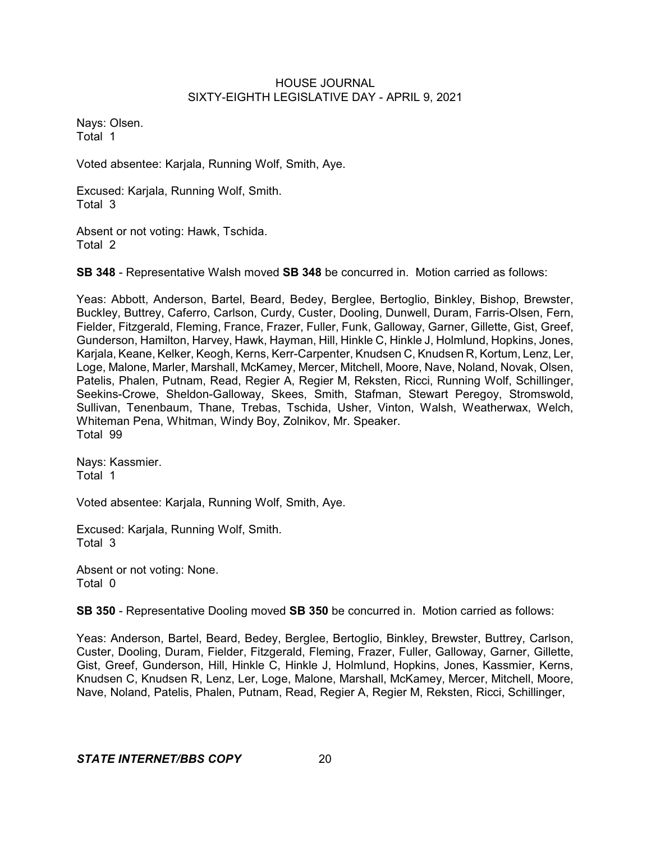Nays: Olsen. Total 1

Voted absentee: Karjala, Running Wolf, Smith, Aye.

Excused: Karjala, Running Wolf, Smith. Total 3

Absent or not voting: Hawk, Tschida. Total 2

**SB 348** - Representative Walsh moved **SB 348** be concurred in. Motion carried as follows:

Yeas: Abbott, Anderson, Bartel, Beard, Bedey, Berglee, Bertoglio, Binkley, Bishop, Brewster, Buckley, Buttrey, Caferro, Carlson, Curdy, Custer, Dooling, Dunwell, Duram, Farris-Olsen, Fern, Fielder, Fitzgerald, Fleming, France, Frazer, Fuller, Funk, Galloway, Garner, Gillette, Gist, Greef, Gunderson, Hamilton, Harvey, Hawk, Hayman, Hill, Hinkle C, Hinkle J, Holmlund, Hopkins, Jones, Karjala, Keane, Kelker, Keogh, Kerns, Kerr-Carpenter, Knudsen C, Knudsen R, Kortum, Lenz, Ler, Loge, Malone, Marler, Marshall, McKamey, Mercer, Mitchell, Moore, Nave, Noland, Novak, Olsen, Patelis, Phalen, Putnam, Read, Regier A, Regier M, Reksten, Ricci, Running Wolf, Schillinger, Seekins-Crowe, Sheldon-Galloway, Skees, Smith, Stafman, Stewart Peregoy, Stromswold, Sullivan, Tenenbaum, Thane, Trebas, Tschida, Usher, Vinton, Walsh, Weatherwax, Welch, Whiteman Pena, Whitman, Windy Boy, Zolnikov, Mr. Speaker. Total 99

Nays: Kassmier. Total 1

Voted absentee: Karjala, Running Wolf, Smith, Aye.

Excused: Karjala, Running Wolf, Smith. Total 3

Absent or not voting: None. Total 0

**SB 350** - Representative Dooling moved **SB 350** be concurred in. Motion carried as follows:

Yeas: Anderson, Bartel, Beard, Bedey, Berglee, Bertoglio, Binkley, Brewster, Buttrey, Carlson, Custer, Dooling, Duram, Fielder, Fitzgerald, Fleming, Frazer, Fuller, Galloway, Garner, Gillette, Gist, Greef, Gunderson, Hill, Hinkle C, Hinkle J, Holmlund, Hopkins, Jones, Kassmier, Kerns, Knudsen C, Knudsen R, Lenz, Ler, Loge, Malone, Marshall, McKamey, Mercer, Mitchell, Moore, Nave, Noland, Patelis, Phalen, Putnam, Read, Regier A, Regier M, Reksten, Ricci, Schillinger,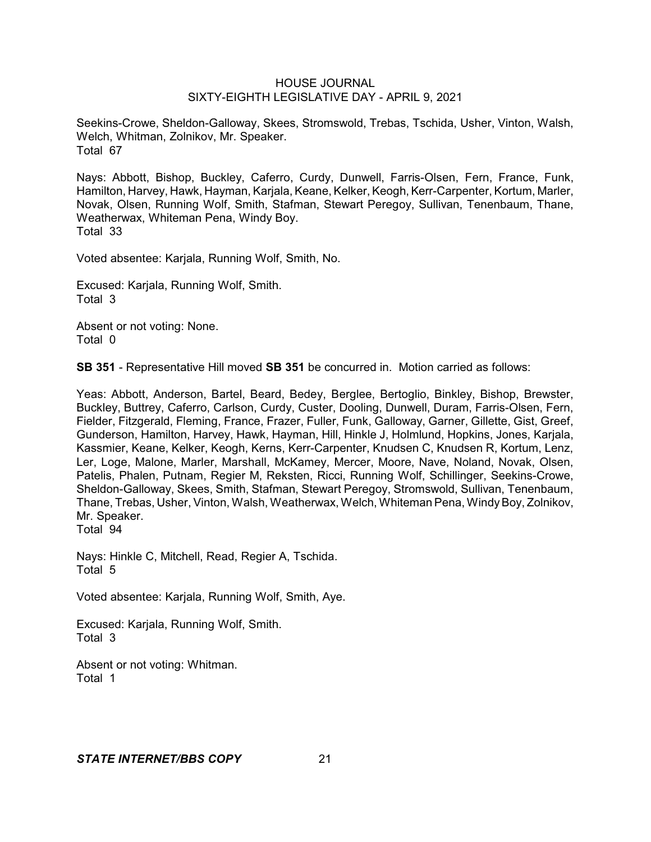Seekins-Crowe, Sheldon-Galloway, Skees, Stromswold, Trebas, Tschida, Usher, Vinton, Walsh, Welch, Whitman, Zolnikov, Mr. Speaker. Total 67

Nays: Abbott, Bishop, Buckley, Caferro, Curdy, Dunwell, Farris-Olsen, Fern, France, Funk, Hamilton, Harvey, Hawk, Hayman, Karjala, Keane, Kelker, Keogh, Kerr-Carpenter, Kortum, Marler, Novak, Olsen, Running Wolf, Smith, Stafman, Stewart Peregoy, Sullivan, Tenenbaum, Thane, Weatherwax, Whiteman Pena, Windy Boy. Total 33

Voted absentee: Karjala, Running Wolf, Smith, No.

Excused: Karjala, Running Wolf, Smith. Total 3

Absent or not voting: None. Total 0

**SB 351** - Representative Hill moved **SB 351** be concurred in. Motion carried as follows:

Yeas: Abbott, Anderson, Bartel, Beard, Bedey, Berglee, Bertoglio, Binkley, Bishop, Brewster, Buckley, Buttrey, Caferro, Carlson, Curdy, Custer, Dooling, Dunwell, Duram, Farris-Olsen, Fern, Fielder, Fitzgerald, Fleming, France, Frazer, Fuller, Funk, Galloway, Garner, Gillette, Gist, Greef, Gunderson, Hamilton, Harvey, Hawk, Hayman, Hill, Hinkle J, Holmlund, Hopkins, Jones, Karjala, Kassmier, Keane, Kelker, Keogh, Kerns, Kerr-Carpenter, Knudsen C, Knudsen R, Kortum, Lenz, Ler, Loge, Malone, Marler, Marshall, McKamey, Mercer, Moore, Nave, Noland, Novak, Olsen, Patelis, Phalen, Putnam, Regier M, Reksten, Ricci, Running Wolf, Schillinger, Seekins-Crowe, Sheldon-Galloway, Skees, Smith, Stafman, Stewart Peregoy, Stromswold, Sullivan, Tenenbaum, Thane, Trebas, Usher, Vinton, Walsh, Weatherwax, Welch, Whiteman Pena, WindyBoy, Zolnikov, Mr. Speaker. Total 94

Nays: Hinkle C, Mitchell, Read, Regier A, Tschida. Total 5

Voted absentee: Karjala, Running Wolf, Smith, Aye.

Excused: Karjala, Running Wolf, Smith. Total 3

Absent or not voting: Whitman. Total 1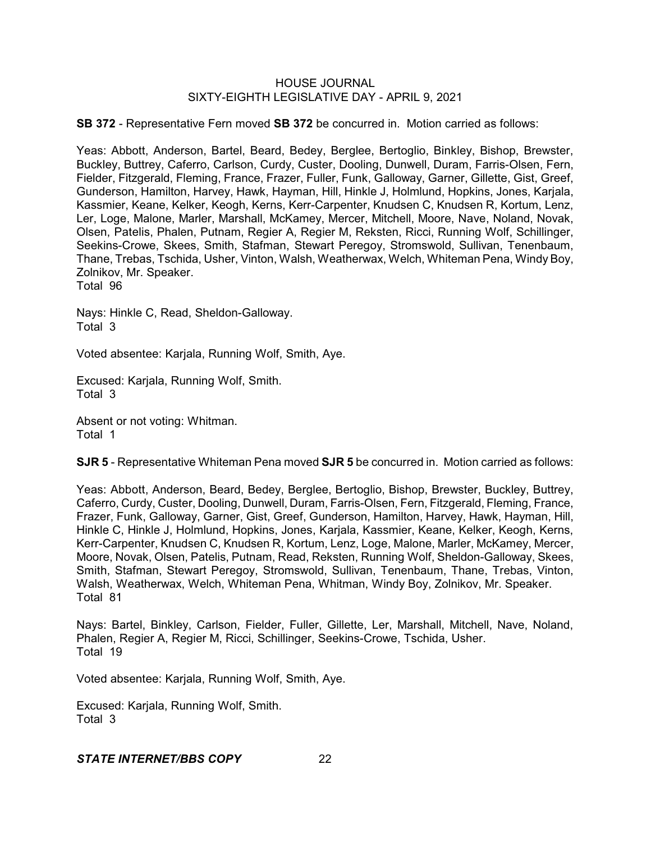**SB 372** - Representative Fern moved **SB 372** be concurred in. Motion carried as follows:

Yeas: Abbott, Anderson, Bartel, Beard, Bedey, Berglee, Bertoglio, Binkley, Bishop, Brewster, Buckley, Buttrey, Caferro, Carlson, Curdy, Custer, Dooling, Dunwell, Duram, Farris-Olsen, Fern, Fielder, Fitzgerald, Fleming, France, Frazer, Fuller, Funk, Galloway, Garner, Gillette, Gist, Greef, Gunderson, Hamilton, Harvey, Hawk, Hayman, Hill, Hinkle J, Holmlund, Hopkins, Jones, Karjala, Kassmier, Keane, Kelker, Keogh, Kerns, Kerr-Carpenter, Knudsen C, Knudsen R, Kortum, Lenz, Ler, Loge, Malone, Marler, Marshall, McKamey, Mercer, Mitchell, Moore, Nave, Noland, Novak, Olsen, Patelis, Phalen, Putnam, Regier A, Regier M, Reksten, Ricci, Running Wolf, Schillinger, Seekins-Crowe, Skees, Smith, Stafman, Stewart Peregoy, Stromswold, Sullivan, Tenenbaum, Thane, Trebas, Tschida, Usher, Vinton, Walsh, Weatherwax, Welch, Whiteman Pena, Windy Boy, Zolnikov, Mr. Speaker.

Total 96

Nays: Hinkle C, Read, Sheldon-Galloway. Total 3

Voted absentee: Karjala, Running Wolf, Smith, Aye.

Excused: Karjala, Running Wolf, Smith. Total 3

Absent or not voting: Whitman. Total 1

**SJR 5** - Representative Whiteman Pena moved **SJR 5** be concurred in. Motion carried as follows:

Yeas: Abbott, Anderson, Beard, Bedey, Berglee, Bertoglio, Bishop, Brewster, Buckley, Buttrey, Caferro, Curdy, Custer, Dooling, Dunwell, Duram, Farris-Olsen, Fern, Fitzgerald, Fleming, France, Frazer, Funk, Galloway, Garner, Gist, Greef, Gunderson, Hamilton, Harvey, Hawk, Hayman, Hill, Hinkle C, Hinkle J, Holmlund, Hopkins, Jones, Karjala, Kassmier, Keane, Kelker, Keogh, Kerns, Kerr-Carpenter, Knudsen C, Knudsen R, Kortum, Lenz, Loge, Malone, Marler, McKamey, Mercer, Moore, Novak, Olsen, Patelis, Putnam, Read, Reksten, Running Wolf, Sheldon-Galloway, Skees, Smith, Stafman, Stewart Peregoy, Stromswold, Sullivan, Tenenbaum, Thane, Trebas, Vinton, Walsh, Weatherwax, Welch, Whiteman Pena, Whitman, Windy Boy, Zolnikov, Mr. Speaker. Total 81

Nays: Bartel, Binkley, Carlson, Fielder, Fuller, Gillette, Ler, Marshall, Mitchell, Nave, Noland, Phalen, Regier A, Regier M, Ricci, Schillinger, Seekins-Crowe, Tschida, Usher. Total 19

Voted absentee: Karjala, Running Wolf, Smith, Aye.

Excused: Karjala, Running Wolf, Smith. Total 3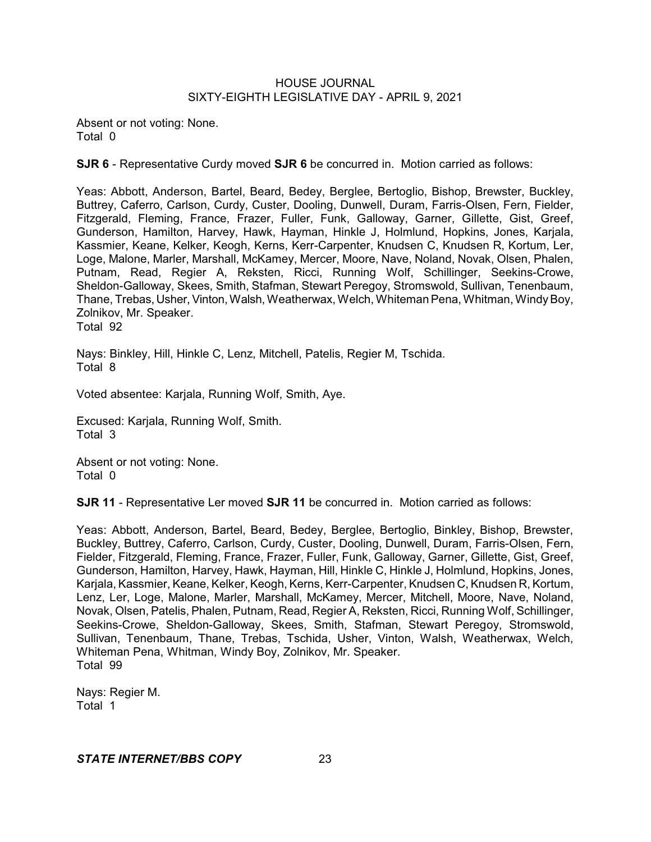Absent or not voting: None. Total 0

**SJR 6** - Representative Curdy moved **SJR 6** be concurred in. Motion carried as follows:

Yeas: Abbott, Anderson, Bartel, Beard, Bedey, Berglee, Bertoglio, Bishop, Brewster, Buckley, Buttrey, Caferro, Carlson, Curdy, Custer, Dooling, Dunwell, Duram, Farris-Olsen, Fern, Fielder, Fitzgerald, Fleming, France, Frazer, Fuller, Funk, Galloway, Garner, Gillette, Gist, Greef, Gunderson, Hamilton, Harvey, Hawk, Hayman, Hinkle J, Holmlund, Hopkins, Jones, Karjala, Kassmier, Keane, Kelker, Keogh, Kerns, Kerr-Carpenter, Knudsen C, Knudsen R, Kortum, Ler, Loge, Malone, Marler, Marshall, McKamey, Mercer, Moore, Nave, Noland, Novak, Olsen, Phalen, Putnam, Read, Regier A, Reksten, Ricci, Running Wolf, Schillinger, Seekins-Crowe, Sheldon-Galloway, Skees, Smith, Stafman, Stewart Peregoy, Stromswold, Sullivan, Tenenbaum, Thane, Trebas, Usher, Vinton, Walsh, Weatherwax, Welch, Whiteman Pena, Whitman, Windy Boy, Zolnikov, Mr. Speaker. Total 92

Nays: Binkley, Hill, Hinkle C, Lenz, Mitchell, Patelis, Regier M, Tschida. Total 8

Voted absentee: Karjala, Running Wolf, Smith, Aye.

Excused: Karjala, Running Wolf, Smith. Total 3

Absent or not voting: None. Total 0

**SJR 11** - Representative Ler moved **SJR 11** be concurred in. Motion carried as follows:

Yeas: Abbott, Anderson, Bartel, Beard, Bedey, Berglee, Bertoglio, Binkley, Bishop, Brewster, Buckley, Buttrey, Caferro, Carlson, Curdy, Custer, Dooling, Dunwell, Duram, Farris-Olsen, Fern, Fielder, Fitzgerald, Fleming, France, Frazer, Fuller, Funk, Galloway, Garner, Gillette, Gist, Greef, Gunderson, Hamilton, Harvey, Hawk, Hayman, Hill, Hinkle C, Hinkle J, Holmlund, Hopkins, Jones, Karjala, Kassmier, Keane, Kelker, Keogh, Kerns, Kerr-Carpenter, Knudsen C, Knudsen R, Kortum, Lenz, Ler, Loge, Malone, Marler, Marshall, McKamey, Mercer, Mitchell, Moore, Nave, Noland, Novak, Olsen, Patelis, Phalen, Putnam, Read, Regier A, Reksten, Ricci, Running Wolf, Schillinger, Seekins-Crowe, Sheldon-Galloway, Skees, Smith, Stafman, Stewart Peregoy, Stromswold, Sullivan, Tenenbaum, Thane, Trebas, Tschida, Usher, Vinton, Walsh, Weatherwax, Welch, Whiteman Pena, Whitman, Windy Boy, Zolnikov, Mr. Speaker. Total 99

Nays: Regier M. Total 1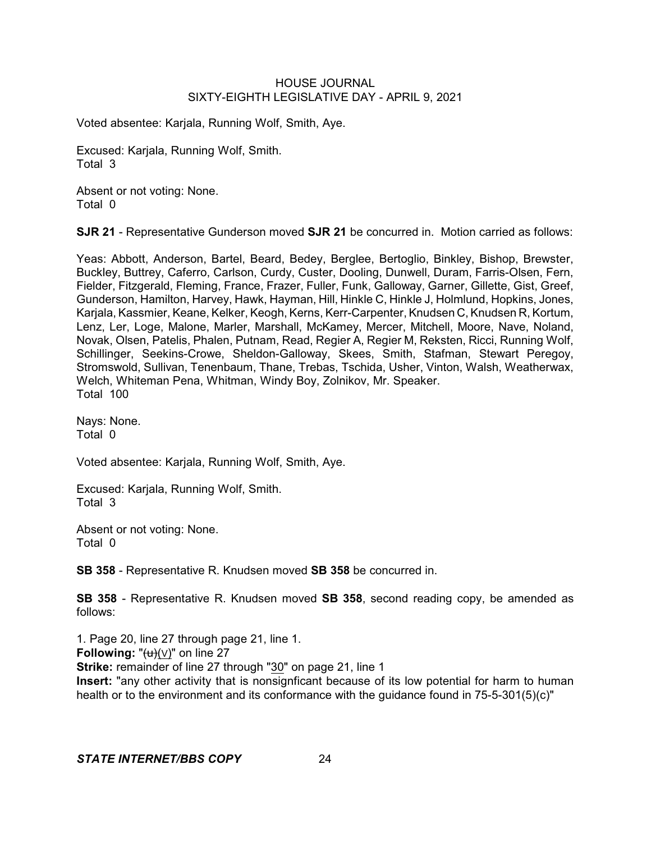Voted absentee: Karjala, Running Wolf, Smith, Aye.

Excused: Karjala, Running Wolf, Smith. Total 3

Absent or not voting: None. Total 0

**SJR 21** - Representative Gunderson moved **SJR 21** be concurred in. Motion carried as follows:

Yeas: Abbott, Anderson, Bartel, Beard, Bedey, Berglee, Bertoglio, Binkley, Bishop, Brewster, Buckley, Buttrey, Caferro, Carlson, Curdy, Custer, Dooling, Dunwell, Duram, Farris-Olsen, Fern, Fielder, Fitzgerald, Fleming, France, Frazer, Fuller, Funk, Galloway, Garner, Gillette, Gist, Greef, Gunderson, Hamilton, Harvey, Hawk, Hayman, Hill, Hinkle C, Hinkle J, Holmlund, Hopkins, Jones, Karjala, Kassmier, Keane, Kelker, Keogh, Kerns, Kerr-Carpenter, Knudsen C, Knudsen R, Kortum, Lenz, Ler, Loge, Malone, Marler, Marshall, McKamey, Mercer, Mitchell, Moore, Nave, Noland, Novak, Olsen, Patelis, Phalen, Putnam, Read, Regier A, Regier M, Reksten, Ricci, Running Wolf, Schillinger, Seekins-Crowe, Sheldon-Galloway, Skees, Smith, Stafman, Stewart Peregoy, Stromswold, Sullivan, Tenenbaum, Thane, Trebas, Tschida, Usher, Vinton, Walsh, Weatherwax, Welch, Whiteman Pena, Whitman, Windy Boy, Zolnikov, Mr. Speaker. Total 100

Nays: None. Total 0

Voted absentee: Karjala, Running Wolf, Smith, Aye.

Excused: Karjala, Running Wolf, Smith. Total 3

Absent or not voting: None. Total 0

**SB 358** - Representative R. Knudsen moved **SB 358** be concurred in.

**SB 358** - Representative R. Knudsen moved **SB 358**, second reading copy, be amended as follows:

1. Page 20, line 27 through page 21, line 1. **Following:** " $\left(\frac{u}{v}\right)$  ( $\vee$ )" on line 27 **Strike:** remainder of line 27 through "30" on page 21, line 1 **Insert:** "any other activity that is nonsignficant because of its low potential for harm to human health or to the environment and its conformance with the guidance found in 75-5-301(5)(c)"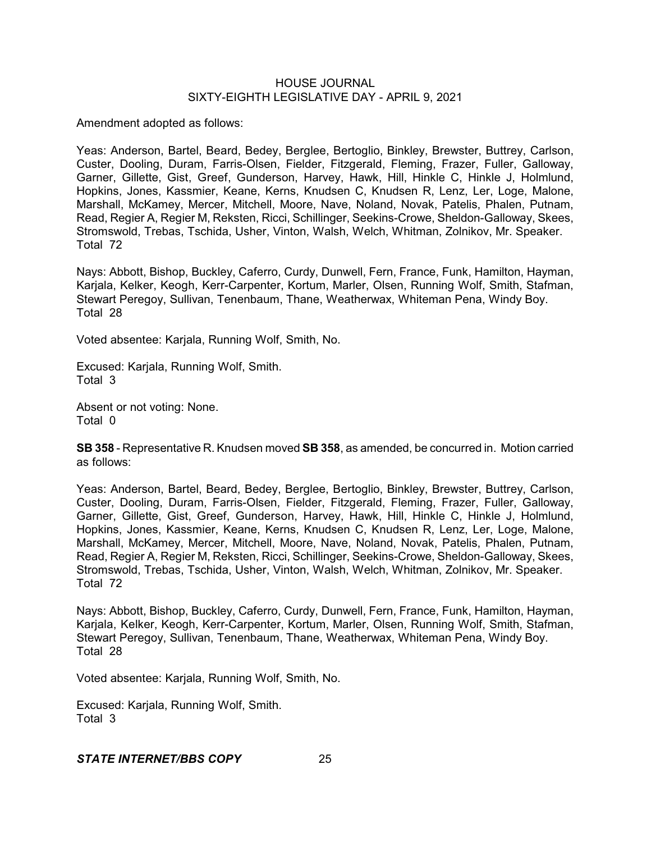Amendment adopted as follows:

Yeas: Anderson, Bartel, Beard, Bedey, Berglee, Bertoglio, Binkley, Brewster, Buttrey, Carlson, Custer, Dooling, Duram, Farris-Olsen, Fielder, Fitzgerald, Fleming, Frazer, Fuller, Galloway, Garner, Gillette, Gist, Greef, Gunderson, Harvey, Hawk, Hill, Hinkle C, Hinkle J, Holmlund, Hopkins, Jones, Kassmier, Keane, Kerns, Knudsen C, Knudsen R, Lenz, Ler, Loge, Malone, Marshall, McKamey, Mercer, Mitchell, Moore, Nave, Noland, Novak, Patelis, Phalen, Putnam, Read, Regier A, Regier M, Reksten, Ricci, Schillinger, Seekins-Crowe, Sheldon-Galloway, Skees, Stromswold, Trebas, Tschida, Usher, Vinton, Walsh, Welch, Whitman, Zolnikov, Mr. Speaker. Total 72

Nays: Abbott, Bishop, Buckley, Caferro, Curdy, Dunwell, Fern, France, Funk, Hamilton, Hayman, Karjala, Kelker, Keogh, Kerr-Carpenter, Kortum, Marler, Olsen, Running Wolf, Smith, Stafman, Stewart Peregoy, Sullivan, Tenenbaum, Thane, Weatherwax, Whiteman Pena, Windy Boy. Total 28

Voted absentee: Karjala, Running Wolf, Smith, No.

Excused: Karjala, Running Wolf, Smith. Total 3

Absent or not voting: None. Total 0

**SB 358** - Representative R. Knudsen moved **SB 358**, as amended, be concurred in. Motion carried as follows:

Yeas: Anderson, Bartel, Beard, Bedey, Berglee, Bertoglio, Binkley, Brewster, Buttrey, Carlson, Custer, Dooling, Duram, Farris-Olsen, Fielder, Fitzgerald, Fleming, Frazer, Fuller, Galloway, Garner, Gillette, Gist, Greef, Gunderson, Harvey, Hawk, Hill, Hinkle C, Hinkle J, Holmlund, Hopkins, Jones, Kassmier, Keane, Kerns, Knudsen C, Knudsen R, Lenz, Ler, Loge, Malone, Marshall, McKamey, Mercer, Mitchell, Moore, Nave, Noland, Novak, Patelis, Phalen, Putnam, Read, Regier A, Regier M, Reksten, Ricci, Schillinger, Seekins-Crowe, Sheldon-Galloway, Skees, Stromswold, Trebas, Tschida, Usher, Vinton, Walsh, Welch, Whitman, Zolnikov, Mr. Speaker. Total 72

Nays: Abbott, Bishop, Buckley, Caferro, Curdy, Dunwell, Fern, France, Funk, Hamilton, Hayman, Karjala, Kelker, Keogh, Kerr-Carpenter, Kortum, Marler, Olsen, Running Wolf, Smith, Stafman, Stewart Peregoy, Sullivan, Tenenbaum, Thane, Weatherwax, Whiteman Pena, Windy Boy. Total 28

Voted absentee: Karjala, Running Wolf, Smith, No.

Excused: Karjala, Running Wolf, Smith. Total 3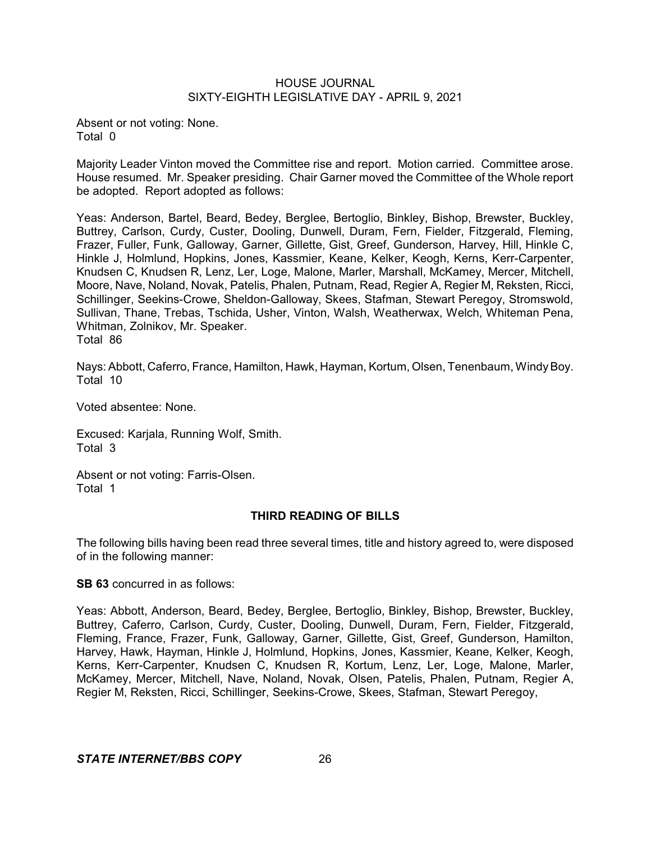Absent or not voting: None. Total 0

Majority Leader Vinton moved the Committee rise and report. Motion carried. Committee arose. House resumed. Mr. Speaker presiding. Chair Garner moved the Committee of the Whole report be adopted. Report adopted as follows:

Yeas: Anderson, Bartel, Beard, Bedey, Berglee, Bertoglio, Binkley, Bishop, Brewster, Buckley, Buttrey, Carlson, Curdy, Custer, Dooling, Dunwell, Duram, Fern, Fielder, Fitzgerald, Fleming, Frazer, Fuller, Funk, Galloway, Garner, Gillette, Gist, Greef, Gunderson, Harvey, Hill, Hinkle C, Hinkle J, Holmlund, Hopkins, Jones, Kassmier, Keane, Kelker, Keogh, Kerns, Kerr-Carpenter, Knudsen C, Knudsen R, Lenz, Ler, Loge, Malone, Marler, Marshall, McKamey, Mercer, Mitchell, Moore, Nave, Noland, Novak, Patelis, Phalen, Putnam, Read, Regier A, Regier M, Reksten, Ricci, Schillinger, Seekins-Crowe, Sheldon-Galloway, Skees, Stafman, Stewart Peregoy, Stromswold, Sullivan, Thane, Trebas, Tschida, Usher, Vinton, Walsh, Weatherwax, Welch, Whiteman Pena, Whitman, Zolnikov, Mr. Speaker. Total 86

Nays: Abbott, Caferro, France, Hamilton, Hawk, Hayman, Kortum, Olsen, Tenenbaum, WindyBoy. Total 10

Voted absentee: None.

Excused: Karjala, Running Wolf, Smith. Total 3

Absent or not voting: Farris-Olsen. Total 1

# **THIRD READING OF BILLS**

The following bills having been read three several times, title and history agreed to, were disposed of in the following manner:

**SB 63** concurred in as follows:

Yeas: Abbott, Anderson, Beard, Bedey, Berglee, Bertoglio, Binkley, Bishop, Brewster, Buckley, Buttrey, Caferro, Carlson, Curdy, Custer, Dooling, Dunwell, Duram, Fern, Fielder, Fitzgerald, Fleming, France, Frazer, Funk, Galloway, Garner, Gillette, Gist, Greef, Gunderson, Hamilton, Harvey, Hawk, Hayman, Hinkle J, Holmlund, Hopkins, Jones, Kassmier, Keane, Kelker, Keogh, Kerns, Kerr-Carpenter, Knudsen C, Knudsen R, Kortum, Lenz, Ler, Loge, Malone, Marler, McKamey, Mercer, Mitchell, Nave, Noland, Novak, Olsen, Patelis, Phalen, Putnam, Regier A, Regier M, Reksten, Ricci, Schillinger, Seekins-Crowe, Skees, Stafman, Stewart Peregoy,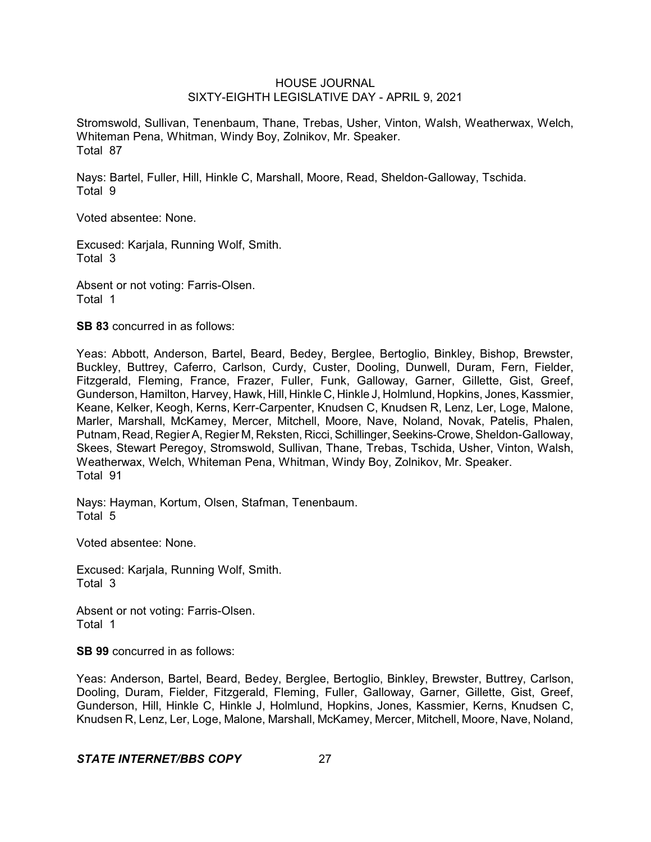Stromswold, Sullivan, Tenenbaum, Thane, Trebas, Usher, Vinton, Walsh, Weatherwax, Welch, Whiteman Pena, Whitman, Windy Boy, Zolnikov, Mr. Speaker. Total 87

Nays: Bartel, Fuller, Hill, Hinkle C, Marshall, Moore, Read, Sheldon-Galloway, Tschida. Total 9

Voted absentee: None.

Excused: Karjala, Running Wolf, Smith. Total 3

Absent or not voting: Farris-Olsen. Total 1

**SB 83** concurred in as follows:

Yeas: Abbott, Anderson, Bartel, Beard, Bedey, Berglee, Bertoglio, Binkley, Bishop, Brewster, Buckley, Buttrey, Caferro, Carlson, Curdy, Custer, Dooling, Dunwell, Duram, Fern, Fielder, Fitzgerald, Fleming, France, Frazer, Fuller, Funk, Galloway, Garner, Gillette, Gist, Greef, Gunderson, Hamilton, Harvey, Hawk, Hill, Hinkle C, Hinkle J, Holmlund, Hopkins, Jones, Kassmier, Keane, Kelker, Keogh, Kerns, Kerr-Carpenter, Knudsen C, Knudsen R, Lenz, Ler, Loge, Malone, Marler, Marshall, McKamey, Mercer, Mitchell, Moore, Nave, Noland, Novak, Patelis, Phalen, Putnam, Read, RegierA, Regier M, Reksten, Ricci, Schillinger,Seekins-Crowe, Sheldon-Galloway, Skees, Stewart Peregoy, Stromswold, Sullivan, Thane, Trebas, Tschida, Usher, Vinton, Walsh, Weatherwax, Welch, Whiteman Pena, Whitman, Windy Boy, Zolnikov, Mr. Speaker. Total 91

Nays: Hayman, Kortum, Olsen, Stafman, Tenenbaum. Total 5

Voted absentee: None.

Excused: Karjala, Running Wolf, Smith. Total 3

Absent or not voting: Farris-Olsen. Total 1

**SB 99** concurred in as follows:

Yeas: Anderson, Bartel, Beard, Bedey, Berglee, Bertoglio, Binkley, Brewster, Buttrey, Carlson, Dooling, Duram, Fielder, Fitzgerald, Fleming, Fuller, Galloway, Garner, Gillette, Gist, Greef, Gunderson, Hill, Hinkle C, Hinkle J, Holmlund, Hopkins, Jones, Kassmier, Kerns, Knudsen C, Knudsen R, Lenz, Ler, Loge, Malone, Marshall, McKamey, Mercer, Mitchell, Moore, Nave, Noland,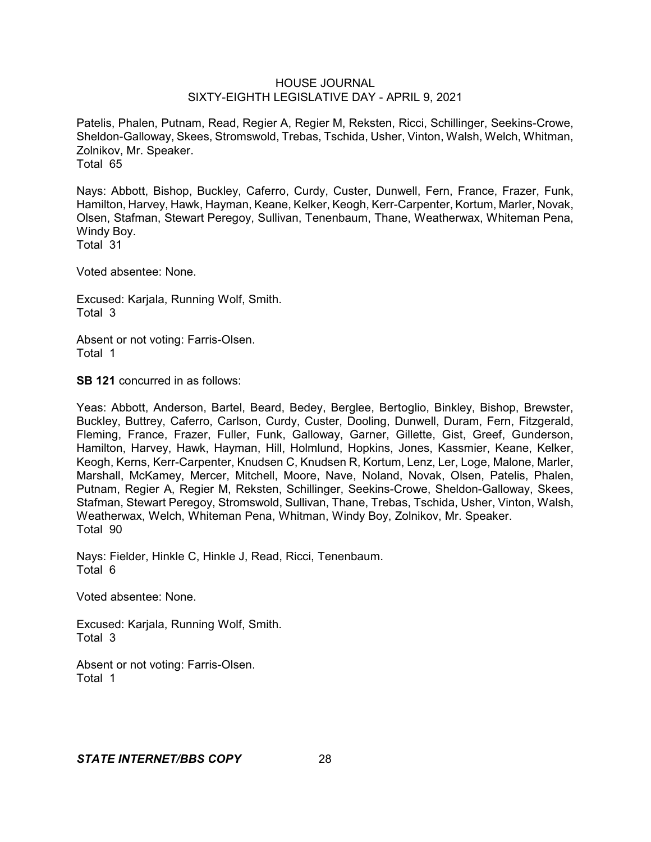Patelis, Phalen, Putnam, Read, Regier A, Regier M, Reksten, Ricci, Schillinger, Seekins-Crowe, Sheldon-Galloway, Skees, Stromswold, Trebas, Tschida, Usher, Vinton, Walsh, Welch, Whitman, Zolnikov, Mr. Speaker. Total 65

Nays: Abbott, Bishop, Buckley, Caferro, Curdy, Custer, Dunwell, Fern, France, Frazer, Funk, Hamilton, Harvey, Hawk, Hayman, Keane, Kelker, Keogh, Kerr-Carpenter, Kortum, Marler, Novak, Olsen, Stafman, Stewart Peregoy, Sullivan, Tenenbaum, Thane, Weatherwax, Whiteman Pena, Windy Boy. Total 31

Voted absentee: None.

Excused: Karjala, Running Wolf, Smith. Total 3

Absent or not voting: Farris-Olsen. Total 1

**SB 121** concurred in as follows:

Yeas: Abbott, Anderson, Bartel, Beard, Bedey, Berglee, Bertoglio, Binkley, Bishop, Brewster, Buckley, Buttrey, Caferro, Carlson, Curdy, Custer, Dooling, Dunwell, Duram, Fern, Fitzgerald, Fleming, France, Frazer, Fuller, Funk, Galloway, Garner, Gillette, Gist, Greef, Gunderson, Hamilton, Harvey, Hawk, Hayman, Hill, Holmlund, Hopkins, Jones, Kassmier, Keane, Kelker, Keogh, Kerns, Kerr-Carpenter, Knudsen C, Knudsen R, Kortum, Lenz, Ler, Loge, Malone, Marler, Marshall, McKamey, Mercer, Mitchell, Moore, Nave, Noland, Novak, Olsen, Patelis, Phalen, Putnam, Regier A, Regier M, Reksten, Schillinger, Seekins-Crowe, Sheldon-Galloway, Skees, Stafman, Stewart Peregoy, Stromswold, Sullivan, Thane, Trebas, Tschida, Usher, Vinton, Walsh, Weatherwax, Welch, Whiteman Pena, Whitman, Windy Boy, Zolnikov, Mr. Speaker. Total 90

Nays: Fielder, Hinkle C, Hinkle J, Read, Ricci, Tenenbaum. Total 6

Voted absentee: None.

Excused: Karjala, Running Wolf, Smith. Total 3

Absent or not voting: Farris-Olsen. Total 1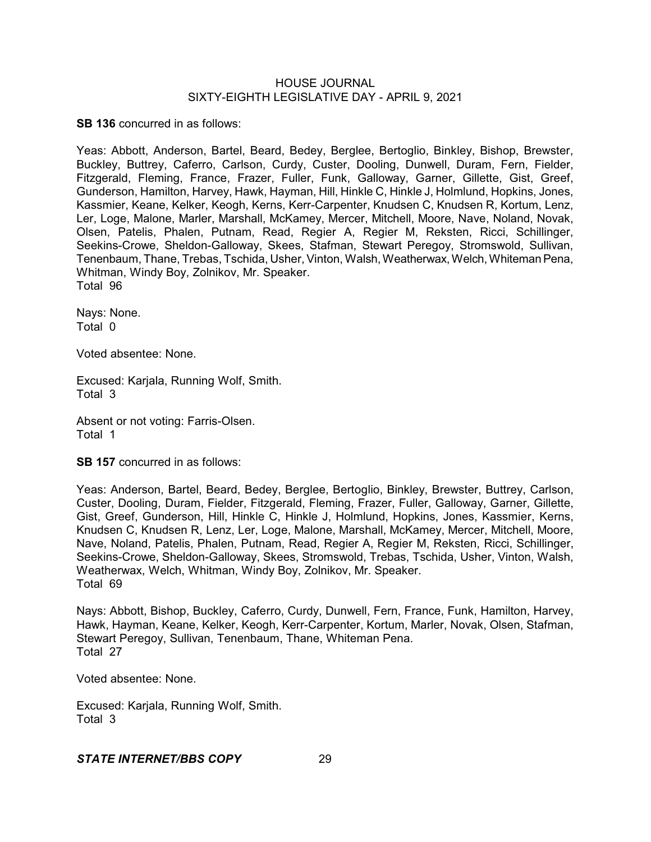**SB 136** concurred in as follows:

Yeas: Abbott, Anderson, Bartel, Beard, Bedey, Berglee, Bertoglio, Binkley, Bishop, Brewster, Buckley, Buttrey, Caferro, Carlson, Curdy, Custer, Dooling, Dunwell, Duram, Fern, Fielder, Fitzgerald, Fleming, France, Frazer, Fuller, Funk, Galloway, Garner, Gillette, Gist, Greef, Gunderson, Hamilton, Harvey, Hawk, Hayman, Hill, Hinkle C, Hinkle J, Holmlund, Hopkins, Jones, Kassmier, Keane, Kelker, Keogh, Kerns, Kerr-Carpenter, Knudsen C, Knudsen R, Kortum, Lenz, Ler, Loge, Malone, Marler, Marshall, McKamey, Mercer, Mitchell, Moore, Nave, Noland, Novak, Olsen, Patelis, Phalen, Putnam, Read, Regier A, Regier M, Reksten, Ricci, Schillinger, Seekins-Crowe, Sheldon-Galloway, Skees, Stafman, Stewart Peregoy, Stromswold, Sullivan, Tenenbaum, Thane, Trebas, Tschida, Usher, Vinton, Walsh, Weatherwax, Welch, Whiteman Pena, Whitman, Windy Boy, Zolnikov, Mr. Speaker. Total 96

Nays: None. Total 0

Voted absentee: None.

Excused: Karjala, Running Wolf, Smith. Total 3

Absent or not voting: Farris-Olsen. Total 1

**SB 157** concurred in as follows:

Yeas: Anderson, Bartel, Beard, Bedey, Berglee, Bertoglio, Binkley, Brewster, Buttrey, Carlson, Custer, Dooling, Duram, Fielder, Fitzgerald, Fleming, Frazer, Fuller, Galloway, Garner, Gillette, Gist, Greef, Gunderson, Hill, Hinkle C, Hinkle J, Holmlund, Hopkins, Jones, Kassmier, Kerns, Knudsen C, Knudsen R, Lenz, Ler, Loge, Malone, Marshall, McKamey, Mercer, Mitchell, Moore, Nave, Noland, Patelis, Phalen, Putnam, Read, Regier A, Regier M, Reksten, Ricci, Schillinger, Seekins-Crowe, Sheldon-Galloway, Skees, Stromswold, Trebas, Tschida, Usher, Vinton, Walsh, Weatherwax, Welch, Whitman, Windy Boy, Zolnikov, Mr. Speaker. Total 69

Nays: Abbott, Bishop, Buckley, Caferro, Curdy, Dunwell, Fern, France, Funk, Hamilton, Harvey, Hawk, Hayman, Keane, Kelker, Keogh, Kerr-Carpenter, Kortum, Marler, Novak, Olsen, Stafman, Stewart Peregoy, Sullivan, Tenenbaum, Thane, Whiteman Pena. Total 27

Voted absentee: None.

Excused: Karjala, Running Wolf, Smith. Total 3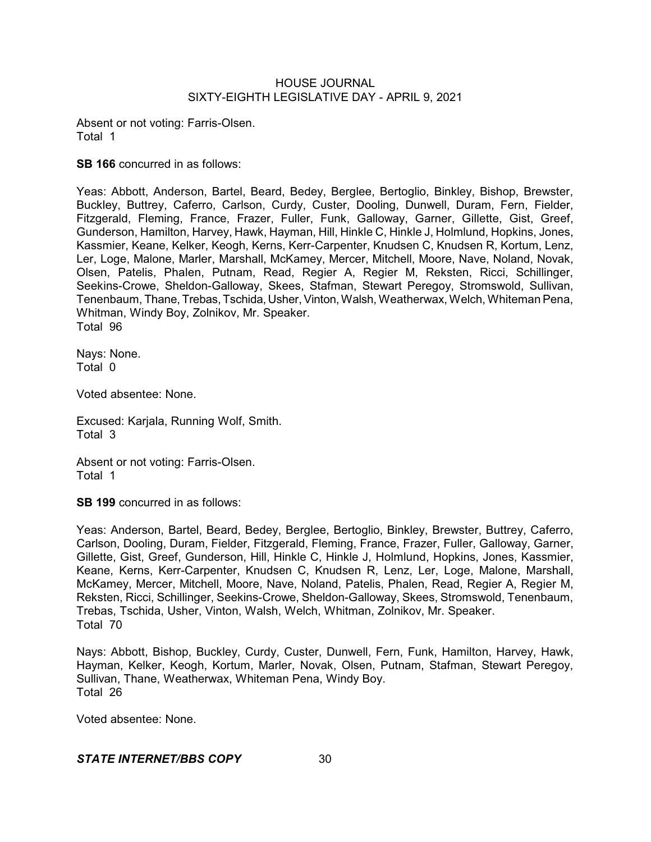Absent or not voting: Farris-Olsen. Total 1

**SB 166** concurred in as follows:

Yeas: Abbott, Anderson, Bartel, Beard, Bedey, Berglee, Bertoglio, Binkley, Bishop, Brewster, Buckley, Buttrey, Caferro, Carlson, Curdy, Custer, Dooling, Dunwell, Duram, Fern, Fielder, Fitzgerald, Fleming, France, Frazer, Fuller, Funk, Galloway, Garner, Gillette, Gist, Greef, Gunderson, Hamilton, Harvey, Hawk, Hayman, Hill, Hinkle C, Hinkle J, Holmlund, Hopkins, Jones, Kassmier, Keane, Kelker, Keogh, Kerns, Kerr-Carpenter, Knudsen C, Knudsen R, Kortum, Lenz, Ler, Loge, Malone, Marler, Marshall, McKamey, Mercer, Mitchell, Moore, Nave, Noland, Novak, Olsen, Patelis, Phalen, Putnam, Read, Regier A, Regier M, Reksten, Ricci, Schillinger, Seekins-Crowe, Sheldon-Galloway, Skees, Stafman, Stewart Peregoy, Stromswold, Sullivan, Tenenbaum, Thane, Trebas, Tschida, Usher,Vinton, Walsh, Weatherwax, Welch, Whiteman Pena, Whitman, Windy Boy, Zolnikov, Mr. Speaker. Total 96

Nays: None. Total 0

Voted absentee: None.

Excused: Karjala, Running Wolf, Smith. Total 3

Absent or not voting: Farris-Olsen. Total 1

**SB 199** concurred in as follows:

Yeas: Anderson, Bartel, Beard, Bedey, Berglee, Bertoglio, Binkley, Brewster, Buttrey, Caferro, Carlson, Dooling, Duram, Fielder, Fitzgerald, Fleming, France, Frazer, Fuller, Galloway, Garner, Gillette, Gist, Greef, Gunderson, Hill, Hinkle C, Hinkle J, Holmlund, Hopkins, Jones, Kassmier, Keane, Kerns, Kerr-Carpenter, Knudsen C, Knudsen R, Lenz, Ler, Loge, Malone, Marshall, McKamey, Mercer, Mitchell, Moore, Nave, Noland, Patelis, Phalen, Read, Regier A, Regier M, Reksten, Ricci, Schillinger, Seekins-Crowe, Sheldon-Galloway, Skees, Stromswold, Tenenbaum, Trebas, Tschida, Usher, Vinton, Walsh, Welch, Whitman, Zolnikov, Mr. Speaker. Total 70

Nays: Abbott, Bishop, Buckley, Curdy, Custer, Dunwell, Fern, Funk, Hamilton, Harvey, Hawk, Hayman, Kelker, Keogh, Kortum, Marler, Novak, Olsen, Putnam, Stafman, Stewart Peregoy, Sullivan, Thane, Weatherwax, Whiteman Pena, Windy Boy. Total 26

Voted absentee: None.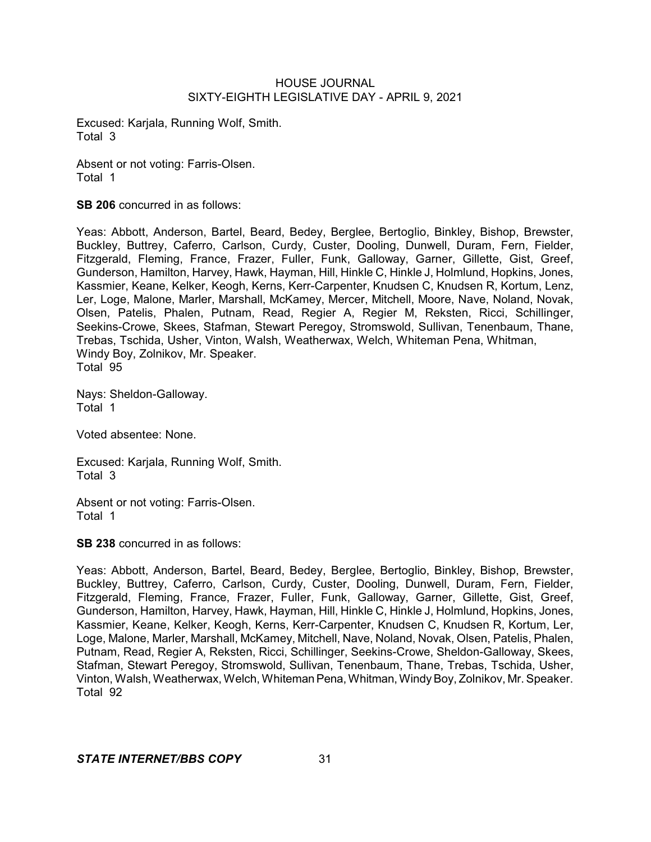Excused: Karjala, Running Wolf, Smith. Total 3

Absent or not voting: Farris-Olsen. Total 1

**SB 206** concurred in as follows:

Yeas: Abbott, Anderson, Bartel, Beard, Bedey, Berglee, Bertoglio, Binkley, Bishop, Brewster, Buckley, Buttrey, Caferro, Carlson, Curdy, Custer, Dooling, Dunwell, Duram, Fern, Fielder, Fitzgerald, Fleming, France, Frazer, Fuller, Funk, Galloway, Garner, Gillette, Gist, Greef, Gunderson, Hamilton, Harvey, Hawk, Hayman, Hill, Hinkle C, Hinkle J, Holmlund, Hopkins, Jones, Kassmier, Keane, Kelker, Keogh, Kerns, Kerr-Carpenter, Knudsen C, Knudsen R, Kortum, Lenz, Ler, Loge, Malone, Marler, Marshall, McKamey, Mercer, Mitchell, Moore, Nave, Noland, Novak, Olsen, Patelis, Phalen, Putnam, Read, Regier A, Regier M, Reksten, Ricci, Schillinger, Seekins-Crowe, Skees, Stafman, Stewart Peregoy, Stromswold, Sullivan, Tenenbaum, Thane, Trebas, Tschida, Usher, Vinton, Walsh, Weatherwax, Welch, Whiteman Pena, Whitman, Windy Boy, Zolnikov, Mr. Speaker. Total 95

Nays: Sheldon-Galloway. Total 1

Voted absentee: None.

Excused: Karjala, Running Wolf, Smith. Total 3

Absent or not voting: Farris-Olsen. Total 1

**SB 238** concurred in as follows:

Yeas: Abbott, Anderson, Bartel, Beard, Bedey, Berglee, Bertoglio, Binkley, Bishop, Brewster, Buckley, Buttrey, Caferro, Carlson, Curdy, Custer, Dooling, Dunwell, Duram, Fern, Fielder, Fitzgerald, Fleming, France, Frazer, Fuller, Funk, Galloway, Garner, Gillette, Gist, Greef, Gunderson, Hamilton, Harvey, Hawk, Hayman, Hill, Hinkle C, Hinkle J, Holmlund, Hopkins, Jones, Kassmier, Keane, Kelker, Keogh, Kerns, Kerr-Carpenter, Knudsen C, Knudsen R, Kortum, Ler, Loge, Malone, Marler, Marshall, McKamey, Mitchell, Nave, Noland, Novak, Olsen, Patelis, Phalen, Putnam, Read, Regier A, Reksten, Ricci, Schillinger, Seekins-Crowe, Sheldon-Galloway, Skees, Stafman, Stewart Peregoy, Stromswold, Sullivan, Tenenbaum, Thane, Trebas, Tschida, Usher, Vinton, Walsh, Weatherwax, Welch, Whiteman Pena, Whitman, Windy Boy, Zolnikov, Mr. Speaker. Total 92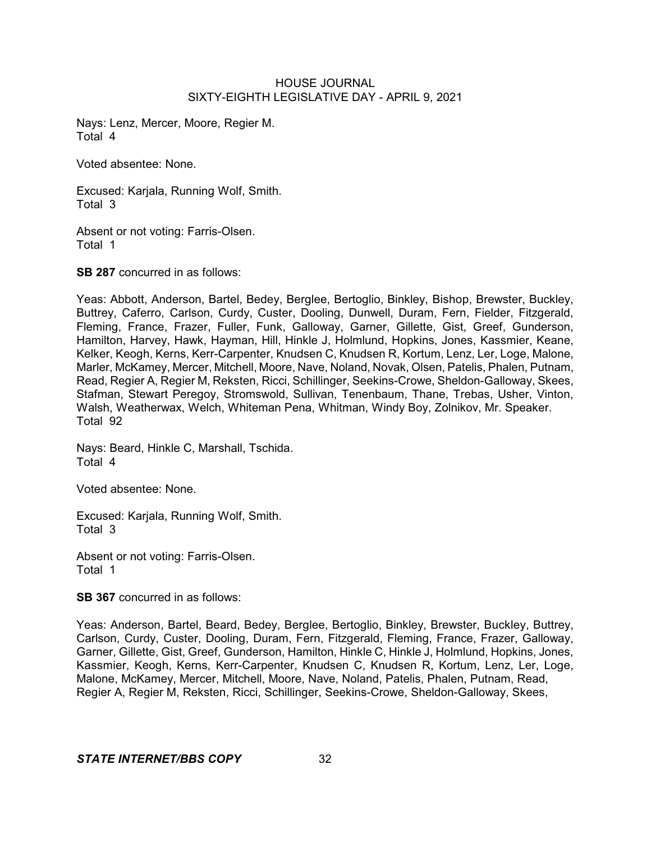Nays: Lenz, Mercer, Moore, Regier M. Total 4

Voted absentee: None.

Excused: Karjala, Running Wolf, Smith. Total 3

Absent or not voting: Farris-Olsen. Total 1

**SB 287** concurred in as follows:

Yeas: Abbott, Anderson, Bartel, Bedey, Berglee, Bertoglio, Binkley, Bishop, Brewster, Buckley, Buttrey, Caferro, Carlson, Curdy, Custer, Dooling, Dunwell, Duram, Fern, Fielder, Fitzgerald, Fleming, France, Frazer, Fuller, Funk, Galloway, Garner, Gillette, Gist, Greef, Gunderson, Hamilton, Harvey, Hawk, Hayman, Hill, Hinkle J, Holmlund, Hopkins, Jones, Kassmier, Keane, Kelker, Keogh, Kerns, Kerr-Carpenter, Knudsen C, Knudsen R, Kortum, Lenz, Ler, Loge, Malone, Marler, McKamey, Mercer, Mitchell, Moore, Nave, Noland, Novak, Olsen, Patelis, Phalen, Putnam, Read, Regier A, Regier M, Reksten, Ricci, Schillinger, Seekins-Crowe, Sheldon-Galloway, Skees, Stafman, Stewart Peregoy, Stromswold, Sullivan, Tenenbaum, Thane, Trebas, Usher, Vinton, Walsh, Weatherwax, Welch, Whiteman Pena, Whitman, Windy Boy, Zolnikov, Mr. Speaker. Total 92

Nays: Beard, Hinkle C, Marshall, Tschida. Total 4

Voted absentee: None.

Excused: Karjala, Running Wolf, Smith. Total 3

Absent or not voting: Farris-Olsen. Total 1

**SB 367** concurred in as follows:

Yeas: Anderson, Bartel, Beard, Bedey, Berglee, Bertoglio, Binkley, Brewster, Buckley, Buttrey, Carlson, Curdy, Custer, Dooling, Duram, Fern, Fitzgerald, Fleming, France, Frazer, Galloway, Garner, Gillette, Gist, Greef, Gunderson, Hamilton, Hinkle C, Hinkle J, Holmlund, Hopkins, Jones, Kassmier, Keogh, Kerns, Kerr-Carpenter, Knudsen C, Knudsen R, Kortum, Lenz, Ler, Loge, Malone, McKamey, Mercer, Mitchell, Moore, Nave, Noland, Patelis, Phalen, Putnam, Read, Regier A, Regier M, Reksten, Ricci, Schillinger, Seekins-Crowe, Sheldon-Galloway, Skees,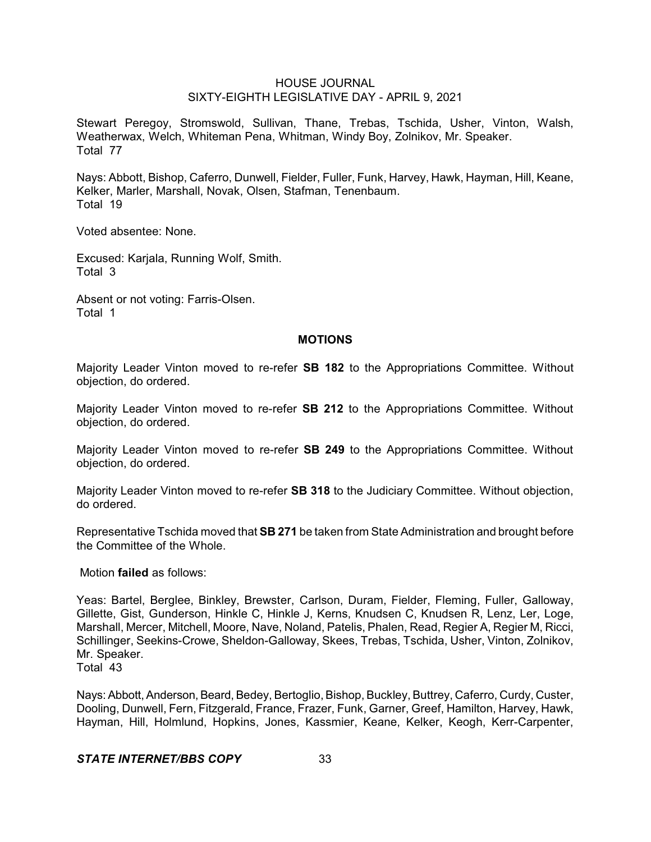Stewart Peregoy, Stromswold, Sullivan, Thane, Trebas, Tschida, Usher, Vinton, Walsh, Weatherwax, Welch, Whiteman Pena, Whitman, Windy Boy, Zolnikov, Mr. Speaker. Total 77

Nays: Abbott, Bishop, Caferro, Dunwell, Fielder, Fuller, Funk, Harvey, Hawk, Hayman, Hill, Keane, Kelker, Marler, Marshall, Novak, Olsen, Stafman, Tenenbaum. Total 19

Voted absentee: None.

Excused: Karjala, Running Wolf, Smith. Total 3

Absent or not voting: Farris-Olsen. Total 1

### **MOTIONS**

Majority Leader Vinton moved to re-refer **SB 182** to the Appropriations Committee. Without objection, do ordered.

Majority Leader Vinton moved to re-refer **SB 212** to the Appropriations Committee. Without objection, do ordered.

Majority Leader Vinton moved to re-refer **SB 249** to the Appropriations Committee. Without objection, do ordered.

Majority Leader Vinton moved to re-refer **SB 318** to the Judiciary Committee. Without objection, do ordered.

Representative Tschida moved that **SB 271** be taken from State Administration and brought before the Committee of the Whole.

Motion **failed** as follows:

Yeas: Bartel, Berglee, Binkley, Brewster, Carlson, Duram, Fielder, Fleming, Fuller, Galloway, Gillette, Gist, Gunderson, Hinkle C, Hinkle J, Kerns, Knudsen C, Knudsen R, Lenz, Ler, Loge, Marshall, Mercer, Mitchell, Moore, Nave, Noland, Patelis, Phalen, Read, Regier A, Regier M, Ricci, Schillinger, Seekins-Crowe, Sheldon-Galloway, Skees, Trebas, Tschida, Usher, Vinton, Zolnikov, Mr. Speaker.

Total 43

Nays: Abbott, Anderson, Beard, Bedey, Bertoglio, Bishop, Buckley, Buttrey, Caferro, Curdy, Custer, Dooling, Dunwell, Fern, Fitzgerald, France, Frazer, Funk, Garner, Greef, Hamilton, Harvey, Hawk, Hayman, Hill, Holmlund, Hopkins, Jones, Kassmier, Keane, Kelker, Keogh, Kerr-Carpenter,